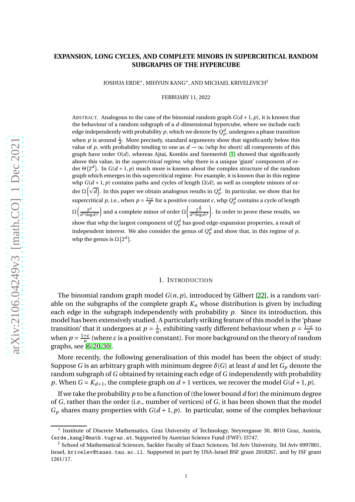# **EXPANSION, LONG CYCLES, AND COMPLETE MINORS IN SUPERCRITICAL RANDOM SUBGRAPHS OF THE HYPERCUBE**

JOSHUA ERDE∗ , MIHYUN KANG∗ , AND MICHAEL KRIVELEVICH‡

FEBRUARY 11, 2022

ABSTRACT. Analogous to the case of the binomial random graph  $G(d+1, p)$ , it is known that the behaviour of a random subgraph of a *d*-dimensional hypercube, where we include each edge independently with probability  $p$ , which we denote by  $Q_p^d$ , undergoes a phase transition when  $p$  is around  $\frac{1}{d}$ . More precisely, standard arguments show that significantly below this value of *p*, with probability tending to one as  $d \rightarrow \infty$  (whp for short) all components of this graph have order  $O(d)$ , whereas Ajtai, Komlós and Szemerédi [\[1\]](#page-13-0) showed that significantly above this value, in the *supercritical regime*, whp there is a unique 'giant' component of order  $\Theta\big(2^d\big)$ . In  $G(d+1, p)$  much more is known about the complex structure of the random graph which emerges in this supercritical regime. For example, it is known that in this regime whp  $G(d+1, p)$  contains paths and cycles of length  $\Omega(d)$ , as well as complete minors of order  $\Omega\big(\sqrt{d}\big).$  In this paper we obtain analogous results in  $Q_p^d.$  In particular, we show that for supercritical *p*, i.e., when  $p = \frac{1+\epsilon}{d}$  for a positive constant  $\epsilon$ , whp  $Q_p^d$  contains a cycle of length  $\Omega\left(\frac{2^d}{a^2}\right)$  $\frac{2^d}{d^3(\log d)^3}$  and a complete minor of order  $\Omega\left(\frac{2^{\frac{d}{2}}}{d^3(\log d)^3}\right)$ . In order to prove these results, we show that whp the largest component of  $Q_p^d$  has good edge-expansion properties, a result of independent interest. We also consider the genus of  $Q_p^d$  and show that, in this regime of  $p$ , whp the genus is  $\Omega(2^d)$ .

### 1. INTRODUCTION

The binomial random graph model *G*(*n*,*p*), introduced by Gilbert [\[22\]](#page-14-0), is a random variable on the subgraphs of the complete graph  $K_n$  whose distribution is given by including each edge in the subgraph independently with probability *p*. Since its introduction, this model has been extensively studied. A particularly striking feature of this model is the 'phase transition' that it undergoes at  $p = \frac{1}{n}$  $\frac{1}{n}$ , exhibiting vastly different behaviour when  $p = \frac{1-\varepsilon}{n}$  to when  $p = \frac{1+\varepsilon}{n}$  (where  $\varepsilon$  is a positive constant). For more background on the theory of random graphs, see [\[6,](#page-14-1) [20,](#page-14-2) [30\]](#page-14-3).

More recently, the following generalisation of this model has been the object of study: Suppose *G* is an arbitrary graph with minimum degree *δ*(*G*) at least *d* and let *G<sup>p</sup>* denote the random subgraph of *G* obtained by retaining each edge of *G* independently with probability *p*. When  $G = K_{d+1}$ , the complete graph on  $d+1$  vertices, we recover the model  $G(d+1, p)$ .

If we take the probability *p* to be a function of (the lower bound *d* for) the minimum degree of *G*, rather than the order (i.e., number of vertices) of *G*, it has been shown that the model  $G_p$  shares many properties with  $G(d+1, p)$ . In particular, some of the complex behaviour

<sup>∗</sup> Institute of Discrete Mathematics, Graz University of Technology, Steyrergasse 30, 8010 Graz, Austria, {erde,kang}@math.tugraz.at. Supported by Austrian Science Fund (FWF): I3747.

<sup>‡</sup> School of Mathematical Sciences, Sackler Faculty of Exact Sciences, Tel Aviv University, Tel Aviv 6997801, Israel, krivelev@tauex.tau.ac.il. Supported in part by USA-Israel BSF grant 2018267, and by ISF grant 1261/17.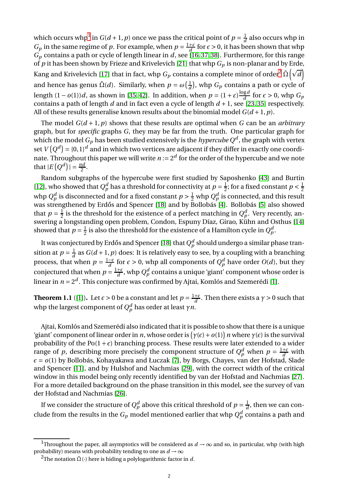which occurs whp<sup>[1](#page-1-0)</sup> in  $G(d+1, p)$  once we pass the critical point of  $p = \frac{1}{d}$  $\frac{1}{d}$  also occurs whp in *G*<sub>*p*</sub> in the same regime of *p*. For example, when  $p = \frac{1+\varepsilon}{d}$  for  $\epsilon > 0$ , it has been shown that whp *G<sup>p</sup>* contains a path or cycle of length linear in *d*, see [\[16,](#page-14-4) [37,](#page-15-0) [38\]](#page-15-1). Furthermore, for this range of *p* it has been shown by Frieze and Krivelevich [\[21\]](#page-14-5) that whp *G<sup>p</sup>* is non-planar and by Erde, Kang and Krivelevich [\[17\]](#page-14-6) that in fact, whp  $G_p$  contains a complete minor of order $^2$  $^2$   $\tilde{\Omega}\bigl(\sqrt{d}\bigr)$ and hence has genus  $\tilde{\Omega}(d)$ . Similarly, when  $p = \omega\left(\frac{1}{d}\right)$  $\frac{1}{d}$ ), whp  $G_p$  contains a path or cycle of length  $(1 - o(1))d$ , as shown in [\[35,](#page-15-2) [42\]](#page-15-3). In addition, when  $p = (1 + \varepsilon) \frac{\log d}{d}$  $\frac{g}{d}$  for  $\epsilon > 0$ , whp  $G_p$ contains a path of length *d* and in fact even a cycle of length *d* + 1, see [\[23,](#page-14-7) [35\]](#page-15-2) respectively. All of these results generalise known results about the binomial model  $G(d+1, p)$ .

The model  $G(d+1, p)$  shows that these results are optimal when G can be an *arbitrary* graph, but for *specific* graphs *G*, they may be far from the truth. One particular graph for which the model  $G_p$  has been studied extensively is the  $\emph{hypercube}$  Q<sup>d</sup> , the graph with vertex set  $V\left(Q^{d}\right)$  = {0, 1}<sup>d</sup> and in which two vertices are adjacent if they differ in exactly one coordinate. Throughout this paper we will write  $n := 2^d$  for the order of the hypercube and we note that  $|E(Q^d)| = \frac{nd}{2}$ .

Random subgraphs of the hypercube were first studied by Saposhenko [\[43\]](#page-15-4) and Burtin [\[12\]](#page-14-8), who showed that  $Q_p^d$  has a threshold for connectivity at  $p = \frac{1}{2}$  $\frac{1}{2}$ ; for a fixed constant  $p < \frac{1}{2}$ 2 whp  $Q_p^d$  is disconnected and for a fixed constant  $p > \frac{1}{2}$  whp  $Q_p^d$  is connected, and this result was strengthened by Erdős and Spencer [\[18\]](#page-14-9) and by Bollobás [\[4\]](#page-14-10). Bollobás [\[5\]](#page-14-11) also showed that  $p = \frac{1}{2}$  $\frac{1}{2}$  is the threshold for the existence of a perfect matching in  $Q_p^d$ . Very recently, answering a longstanding open problem, Condon, Espuny Díaz, Girao, Kühn and Osthus [\[14\]](#page-14-12) showed that  $p = \frac{1}{2}$  $\frac{1}{2}$  is also the threshold for the existence of a Hamilton cycle in  $Q^d_p$ .

It was conjectured by Erdős and Spencer [\[18\]](#page-14-9) that  $Q_p^d$  should undergo a similar phase transition at  $p = \frac{1}{d}$  $\frac{1}{d}$  as  $G(d+1, p)$  does: It is relatively easy to see, by a coupling with a branching process, that when  $p = \frac{1-\epsilon}{d}$  for  $\epsilon > 0$ , whp all components of  $Q_p^d$  have order  $O(d)$ , but they conjectured that when  $p = \frac{1+\epsilon}{d}$ , whp  $Q_p^d$  contains a unique 'giant' component whose order is linear in *n* = 2 *d* . This conjecture was confirmed by Ajtai, Komlós and Szemerédi [\[1\]](#page-13-0).

<span id="page-1-2"></span>**Theorem 1.1** ([\[1\]](#page-13-0)). Let  $\epsilon > 0$  be a constant and let  $p = \frac{1+\epsilon}{d}$ . Then there exists a  $\gamma > 0$  such that whp the largest component of  $Q_p^d$  has order at least  $\gamma n.$ 

Ajtai, Komlós and Szemerédi also indicated that it is possible to show that there is a unique 'giant' component of linear order in *n*, whose order is  $(\gamma(\epsilon) + o(1))$  *n* where  $\gamma(\epsilon)$  is the survival probability of the  $Po(1 + \epsilon)$  branching process. These results were later extended to a wider range of *p*, describing more precisely the component structure of  $Q_p^d$  when  $p = \frac{1+\epsilon}{d}$  with *ǫ* = *o*(1) by Bollobás, Kohayakawa and Łuczak [\[7\]](#page-14-13), by Borgs, Chayes, van der Hofstad, Slade and Spencer [\[11\]](#page-14-14), and by Hulshof and Nachmias [\[29\]](#page-14-15), with the correct width of the critical window in this model being only recently identified by van der Hofstad and Nachmias [\[27\]](#page-14-16). For a more detailed background on the phase transition in this model, see the survey of van der Hofstad and Nachmias [\[26\]](#page-14-17).

If we consider the structure of  $Q_p^d$  above this critical threshold of  $p=\frac{1}{d}$  $\frac{1}{d}$ , then we can conclude from the results in the  $G_p$  model mentioned earlier that whp  $Q_p^d$  contains a path and

<sup>&</sup>lt;sup>1</sup>Throughout the paper, all asymptotics will be considered as  $d \rightarrow \infty$  and so, in particular, whp (with high probability) means with probability tending to one as  $d \rightarrow \infty$ 

<span id="page-1-1"></span><span id="page-1-0"></span><sup>&</sup>lt;sup>2</sup>The notation  $\tilde{\Omega}(\cdot)$  here is hiding a polylogarithmic factor in *d*.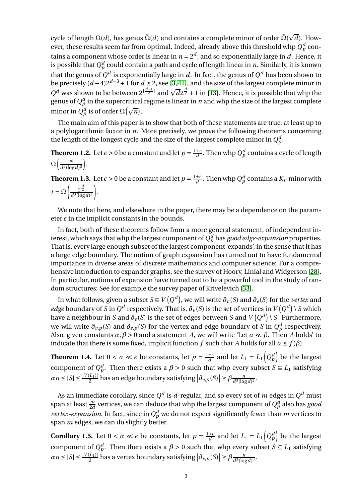cycle of length Ω(*d*), has genus  $\tilde{\Omega}(d)$  and contains a complete minor of order  $\tilde{\Omega}(\sqrt{d}).$  However, these results seem far from optimal. Indeed, already above this threshold whp  $Q_p^d$  contains a component whose order is linear in  $n = 2^d$ , and so exponentially large in *d*. Hence, it is possible that  $Q_p^d$  could contain a path and cycle of length linear in  $n.$  Similarly, it is known that the genus of  $Q^d$  is exponentially large in  $d.$  In fact, the genus of  $Q^d$  has been shown to be precisely (*<sup>d</sup>* <sup>−</sup>4)2*d*−<sup>3</sup> <sup>+</sup>1 for *<sup>d</sup>* <sup>≥</sup> 2, see [\[3,](#page-13-1)[41\]](#page-15-5), and the size of the largest complete minor in  $Q^d$  was shown to be between  $2^{\lfloor \frac{d-1}{2} \rfloor}$  and  $\sqrt{d}2^{\frac{d}{2}} + 1$  in [\[13\]](#page-14-18). Hence, it is possible that whp the genus of  $Q_p^d$  in the supercritical regime is linear in  $\it{n}$  and whp the size of the largest complete minor in  $Q_p^d$  is of order  $\Omega(\sqrt{n})$ .

The main aim of this paper is to show that both of these statements are true, at least up to a polylogarithmic factor in *n*. More precisely, we prove the following theorems concerning the length of the longest cycle and the size of the largest complete minor in  $Q_p^d$ .

<span id="page-2-2"></span>**Theorem 1.2.** Let  $\epsilon > 0$  be a constant and let  $p = \frac{1+\epsilon}{d}$ . Then whp  $Q_p^d$  contains a cycle of length  $\Omega\left[\frac{2^d}{a^2} \right]$  $\frac{2^d}{d^3(\log d)^3}$ .

<span id="page-2-3"></span>**Theorem 1.3.** Let  $\epsilon > 0$  be a constant and let  $p = \frac{1+\epsilon}{d}$ . Then whp  $Q_p^d$  contains a  $K_t$ -minor with  $t = \Omega \left( \frac{2^{\frac{d}{2}}}{d^3(\log{d})} \right)$  $d^3(\log d)^3$ ¶ .

We note that here, and elsewhere in the paper, there may be a dependence on the parameter  $\epsilon$  in the implicit constants in the bounds.

In fact, both of these theorems follow from a more general statement, of independent interest, which says that whp the largest component of  $Q_p^d$  has *good edge-expansion* properties. That is, every large enough subset of the largest component 'expands', in the sense that it has a large edge boundary. The notion of graph expansion has turned out to have fundamental importance in diverse areas of discrete mathematics and computer science: For a comprehensive introduction to expander graphs, see the survey of Hoory, Linial and Widgerson [\[28\]](#page-14-19). In particular, notions of expansion have turned out to be a powerful tool in the study of random structures: See for example the survey paper of Krivelevich [\[33\]](#page-14-20).

In what follows, given a subset *S* ⊆ *V* (*Q<sup>d</sup>*), we will write  $\partial_{\nu}(S)$  and  $\partial_{e}(S)$  for the *vertex* and *edge* boundary of *S* in  $Q^d$  respectively. That is,  $\partial_\nu(S)$  is the set of vertices in  $V\big(Q^d\big)$  \ *S* which have a neighbour in *S* and  $\partial_e(S)$  is the set of edges between *S* and  $V\big(Q^d\big)$  \ *S*. Furthermore, we will write  $\partial_{v,p}(S)$  and  $\partial_{e,p}(S)$  for the vertex and edge boundary of *S* in  $Q_p^d$  respectively. Also, given constants *α*,*β* > 0 and a statement *A*, we will write 'Let *α* ≪ *β*. Then *A* holds' to indicate that there is some fixed, implicit function *f* such that *A* holds for all  $\alpha \leq f(\beta)$ .

<span id="page-2-0"></span>**Theorem 1.4.** Let  $0 < \alpha \ll \epsilon$  be constants, let  $p = \frac{1+\epsilon}{d}$  and let  $L_1 = L_1(Q_p^d)$  be the largest component of  $Q_p^d$ . Then there exists a  $\beta > 0$  such that whp every subset  $S \subseteq L_1$  satisfying  $\alpha n \leq |S| \leq \frac{|V(L_1)|}{2}$  has an edge boundary satisfying  $|\partial_{e,p}(S)| \geq \beta \frac{n}{d^3(\log n)}$  $\frac{n}{d^3(\log d)^2}$ .

As an immediate corollary, since  $Q^d$  is  $d$ -regular, and so every set of  $m$  edges in  $Q^d$  must span at least  $\frac{m}{2d}$  vertices, we can deduce that whp the largest component of  $Q_p^d$  also has *good vertex-expansion*. In fact, since in  $Q_p^d$  we do not expect significantly fewer than *m* vertices to span *m* edges, we can do slightly better.

<span id="page-2-1"></span>**Corollary 1.5.** Let  $0 < \alpha \ll \epsilon$  be constants, let  $p = \frac{1+\epsilon}{d}$  and let  $L_1 = L_1(Q_p^d)$  be the largest component of  $Q_p^d$ . Then there exists a  $\beta > 0$  such that whp every subset  $S \subseteq L_1$  satisfying  $\alpha n \leq |S| \leq \frac{|V(L_1)|}{2}$  has a vertex boundary satisfying  $|\partial_{v,p}(S)| \geq \beta \frac{n}{d^3(\log n)}$  $\frac{n}{d^3(\log d)^3}$ .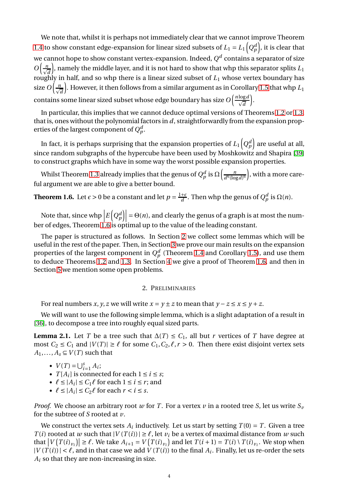We note that, whilst it is perhaps not immediately clear that we cannot improve Theorem [1.4](#page-2-0) to show constant edge-expansion for linear sized subsets of  $L_1 = L_1\left(Q_p^d\right)$ , it is clear that we cannot hope to show constant vertex-expansion. Indeed,  $Q^d$  contains a separator of size  $O\left(\frac{n}{\sqrt{d}}\right)$ ), namely the middle layer, and it is not hard to show that whp this separator splits  $L_1$ roughly in half, and so whp there is a linear sized subset of *L*<sup>1</sup> whose vertex boundary has size  $O\Big(\frac{n}{\sqrt{d}}\Big)$ ). However, it then follows from a similar argument as in Corollary [1.5](#page-2-1) that whp  $L_1$ contains some linear sized subset whose edge boundary has size  $O\Big(\frac{n\log d}{\sqrt{d}}\Big)$ ´ .

In particular, this implies that we cannot deduce optimal versions of Theorems [1.2](#page-2-2) or [1.3,](#page-2-3) that is, ones without the polynomial factors in *d*, straightforwardly from the expansion properties of the largest component of  $Q^d_p$ .

In fact, it is perhaps surprising that the expansion properties of  $L_1\!\left( Q_p^d\right)$  are useful at all, since random subgraphs of the hypercube have been used by Moshkowitz and Shapira [\[39\]](#page-15-6) to construct graphs which have in some way the worst possible expansion properties.

Whilst Theorem [1.3](#page-2-3) already implies that the genus of  $Q_p^d$  is  $\Omega\Bigl(\frac{n}{d^6(\log n)^2}\Bigr)$  $\frac{n}{d^6(\log d)^6}$  , with a more careful argument we are able to give a better bound.

<span id="page-3-0"></span>**Theorem 1.6.** Let  $\epsilon > 0$  be a constant and let  $p = \frac{1+\epsilon}{d}$ . Then whp the genus of  $Q_p^d$  is  $\Omega(n)$ .

Note that, since whp  $\left| E\left(Q_p^d\right) \right| = \Theta(n)$ , and clearly the genus of a graph is at most the num-<br>ber of edges, Theorem [1.6](#page-3-0) is optimal up to the value of the leading constant.

The paper is structured as follows. In Section [2](#page-3-1) we collect some lemmas which will be useful in the rest of the paper. Then, in Section [3](#page-5-0) we prove our main results on the expansion properties of the largest component in  $Q_p^d$  (Theorem [1.4](#page-2-0) and Corollary [1.5\)](#page-2-1), and use them to deduce Theorems [1.2](#page-2-2) and [1.3.](#page-2-3) In Section [4](#page-10-0) we give a proof of Theorem [1.6,](#page-3-0) and then in Section [5](#page-12-0) we mention some open problems.

## 2. PRELIMINARIES

<span id="page-3-1"></span>For real numbers *x*, *y*, *z* we will write  $x = y \pm z$  to mean that  $y - z \le x \le y + z$ .

We will want to use the following simple lemma, which is a slight adaptation of a result in [\[36\]](#page-15-7), to decompose a tree into roughly equal sized parts.

<span id="page-3-2"></span>**Lemma 2.1.** Let *T* be a tree such that  $\Delta(T) \leq C_1$ , all but *r* vertices of *T* have degree at most  $C_2 \le C_1$  and  $|V(T)| \ge \ell$  for some  $C_1, C_2, \ell, r > 0$ . Then there exist disjoint vertex sets  $A_1, \ldots, A_s \subseteq V(T)$  such that

- $V(T) = \bigcup_{i=1}^{s} A_i;$
- $T[A_i]$  is connected for each  $1 \le i \le s$ ;
- $\ell \leq |A_i| \leq C_1 \ell$  for each  $1 \leq i \leq r$ ; and
- $\ell \leq |A_i| \leq C_2 \ell$  for each  $r < i \leq s$ .

*Proof.* We choose an arbitrary root *w* for *T*. For a vertex *v* in a rooted tree *S*, let us write  $S_v$ for the subtree of *S* rooted at *v*.

We construct the vertex sets  $A_i$  inductively. Let us start by setting  $T(0) = T$ . Given a tree *T*(*i*) rooted at *w* such that  $|V(T(i))| \ge \ell$ , let  $v_i$  be a vertex of maximal distance from *w* such that  $|V(T(i)_{v_i})| \ge \ell$ . We take  $A_{i+1} = V(T(i)_{v_i})$  and let  $T(i+1) = T(i) \setminus T(i)_{v_i}$ . We stop when  $|V(T(i))| < \ell$ , and in that case we add  $V(T(i))$  to the final  $A_i$ . Finally, let us re-order the sets  $A_i$  so that they are non-increasing in size.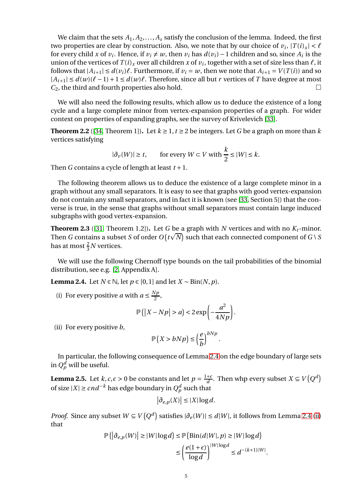We claim that the sets  $A_1, A_2, \ldots, A_s$  satisfy the conclusion of the lemma. Indeed, the first two properties are clear by construction. Also, we note that by our choice of  $v_i$ ,  $|T(i)_x| < \ell$ for every child *x* of *v*<sub>*i*</sub>. Hence, if *v*<sub>*i*</sub>  $\neq$  *w*, then *v*<sub>*i*</sub> has *d*(*v*<sub>*i*</sub>) – 1 children and so, since *A*<sub>*i*</sub> is the union of the vertices of  $T(i)_x$  over all children  $x$  of  $v_i$ , together with a set of size less than  $\ell$ , it follows that  $|A_{i+1}| \leq d(v_i)\ell$ . Furthermore, if  $v_i = w$ , then we note that  $A_{i+1} = V(T(i))$  and so  $|A_{i+1}|$  ≤ *d*(*w*)( $\ell$  − 1) + 1 ≤ *d*(*w*) $\ell$ . Therefore, since all but *r* vertices of *T* have degree at most  $C_2$  the third and fourth properties also hold *C*2, the third and fourth properties also hold.

We will also need the following results, which allow us to deduce the existence of a long cycle and a large complete minor from vertex-expansion properties of a graph. For wider context on properties of expanding graphs, see the survey of Krivelevich [\[33\]](#page-14-20).

<span id="page-4-4"></span>**Theorem 2.2** ([\[34,](#page-14-21) Theorem 1]). Let  $k \ge 1$ ,  $t \ge 2$  be integers. Let *G* be a graph on more than *k* vertices satisfying

$$
|\partial_v(W)| \ge t, \qquad \text{for every } W \subset V \text{ with } \frac{k}{2} \le |W| \le k.
$$

Then *G* contains a cycle of length at least  $t + 1$ .

The following theorem allows us to deduce the existence of a large complete minor in a graph without any small separators. It is easy to see that graphs with good vertex-expansion do not contain any small separators, and in fact it is known (see [\[33,](#page-14-20) Section 5]) that the converse is true, in the sense that graphs without small separators must contain large induced subgraphs with good vertex-expansion.

<span id="page-4-5"></span>**Theorem 2.3** ([\[31,](#page-14-22) Theorem 1.2]). Let *G* be a graph with *N* vertices and with no  $K_t$ -minor. Then *G* contains a subset *S* of order  $O(t\sqrt{N})$  such that each connected component of *G* \ *S* has at most  $\frac{2}{3}N$  vertices.

We will use the following Chernoff type bounds on the tail probabilities of the binomial distribution, see e.g. [\[2,](#page-13-2) Appendix A].

<span id="page-4-2"></span><span id="page-4-0"></span>**Lemma 2.4.** Let *N* ∈  $\mathbb{N}$ , let *p* ∈ [0, 1] and let *X* ∼ Bin(*N*, *p*).

(i) For every positive *a* with  $a \le \frac{Np}{2}$  $\frac{p}{2}$ ,

$$
\mathbb{P}\left(\left|X - Np\right| > a\right) < 2\exp\left(-\frac{a^2}{4Np}\right).
$$

<span id="page-4-1"></span>(ii) For every positive *b*,

$$
\mathbb{P}\left(X > bNp\right) \le \left(\frac{e}{b}\right)^{bNp}.
$$

In particular, the following consequence of Lemma [2.4](#page-4-0) on the edge boundary of large sets in  $Q_p^d$  will be useful.

<span id="page-4-3"></span>**Lemma 2.5.** Let *k*, *c*, $\epsilon > 0$  be constants and let  $p = \frac{1+\epsilon}{d}$ . Then whp every subset  $X \subseteq V(Q^d)$ of size  $|X|$  ≥  $cnd^{-k}$  has edge boundary in  $Q_p^d$  such that

$$
\left|\partial_{e,p}(X)\right| \leq |X| \log d.
$$

*Proof.* Since any subset *W* ⊆ *V*( $Q^d$ ) satisfies  $|\partial_e(W)|$  ≤ *d*|*W*|, it follows from Lemma [2.4](#page-4-0) [\(ii\)](#page-4-1) that

$$
\mathbb{P}\left(\left|\partial_{e,p}(W)\right| \geq |W|\log d\right) \leq \mathbb{P}\left(\text{Bin}(d|W|,p) \geq |W|\log d\right)
$$

$$
\leq \left(\frac{e(1+\epsilon)}{\log d}\right)^{|W|\log d} \leq d^{-(k+1)|W|}.
$$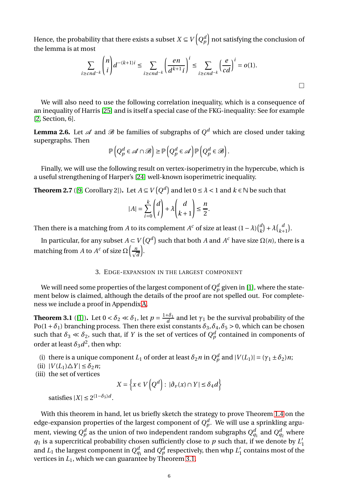Hence, the probability that there exists a subset  $X \subseteq V\left(Q_\rho^d\right)$  not satisfying the conclusion of the lemma is at most

$$
\sum_{i\geq cnd^{-k}} \binom{n}{i} d^{-(k+1)i} \leq \sum_{i\geq cnd^{-k}} \left(\frac{en}{d^{k+1}i}\right)^i \leq \sum_{i\geq cnd^{-k}} \left(\frac{e}{cd}\right)^i = o(1).
$$

We will also need to use the following correlation inequality, which is a consequence of an inequality of Harris [\[25\]](#page-14-23) and is itself a special case of the FKG-inequality: See for example [\[2,](#page-13-2) Section, 6].

<span id="page-5-4"></span>**Lemma 2.6.** Let  $\mathscr A$  and  $\mathscr B$  be families of subgraphs of  $Q^d$  which are closed under taking supergraphs. Then

$$
\mathbb{P}\left(Q_p^d \in \mathscr{A} \cap \mathscr{B}\right) \ge \mathbb{P}\left(Q_p^d \in \mathscr{A}\right) \mathbb{P}\left(Q_p^d \in \mathscr{B}\right).
$$

Finally, we will use the following result on vertex-isoperimetry in the hypercube, which is a useful strengthening of Harper's [\[24\]](#page-14-24) well-known isoperimetric inequality.

<span id="page-5-3"></span>**Theorem 2.7** ([\[9,](#page-14-25) Corollary 2]). Let  $A \subseteq V(Q^d)$  and let  $0 \le \lambda < 1$  and  $k \in \mathbb{N}$  be such that

$$
|A| = \sum_{i=0}^{k} \binom{d}{i} + \lambda \binom{d}{k+1} \le \frac{n}{2}.
$$

Then there is a matching from *A* to its complement  $A^c$  of size at least  $(1 - \lambda) {d \choose k}$  $\lambda_k^d$  +  $\lambda$   $\lambda_k^d$  $\binom{a}{k+1}$ .

<span id="page-5-0"></span>In particular, for any subset  $A \subset V(Q^d)$  such that both *A* and  $A^c$  have size  $\Omega(n)$ , there is a matching from *A* to *A<sup>c</sup>* of size  $\Omega\Big(\frac{n}{\sqrt{d}}\Big)$ ´ .

### 3. EDGE-EXPANSION IN THE LARGEST COMPONENT

We will need some properties of the largest component of  $Q^d_p$  given in [\[1\]](#page-13-0), where the statement below is claimed, although the details of the proof are not spelled out. For completeness we include a proof in Appendix [A.](#page-15-8)

<span id="page-5-1"></span>**Theorem 3.1** ([\[1\]](#page-13-0)). Let  $0 < \delta_2 \ll \delta_1$ , let  $p = \frac{1+\delta_1}{d}$  and let  $\gamma_1$  be the survival probability of the Po(1+ $\delta$ <sub>1</sub>) branching process. Then there exist constants  $\delta_3$ ,  $\delta_4$ ,  $\delta_5$  > 0, which can be chosen such that  $\delta_3 \ll \delta_2$ , such that, if *Y* is the set of vertices of  $Q_p^d$  contained in components of order at least  $\delta_3 d^2$ , then whp:

- <span id="page-5-6"></span><span id="page-5-5"></span>(i) there is a unique component *L*<sub>1</sub> of order at least  $\delta_2 n$  in  $Q_p^d$  and  $|V(L_1)| = (\gamma_1 \pm \delta_2)n$ ;
- <span id="page-5-2"></span> $(iii)$   $|V(L_1)\Delta Y| \leq \delta_2 n;$
- (iii) the set of vertices

$$
X = \left\{ x \in V\left(Q^d\right) : \ |\partial_v(x) \cap Y| \le \delta_4 d \right\}
$$

satisfies  $|X| \leq 2^{(1-\delta_5)d}$ .

With this theorem in hand, let us briefly sketch the strategy to prove Theorem [1.4](#page-2-0) on the edge-expansion properties of the largest component of  $Q_p^d$ . We will use a sprinkling argument, viewing  $Q_p^d$  as the union of two independent random subgraphs  $Q_{q_1}^d$  and  $Q_{q_2}^d$  where  $q_1$  is a supercritical probability chosen sufficiently close to  $p$  such that, if we denote by  $L'_1$ and  $L_1$  the largest component in  $Q_{q_1}^d$  and  $Q_p^d$  respectively, then whp  $L_1^\prime$  contains most of the vertices in *L*1, which we can guarantee by Theorem [3.1.](#page-5-1)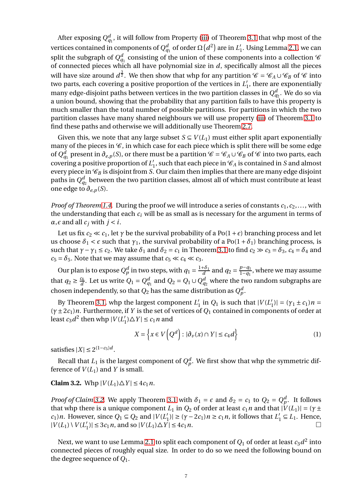After exposing  $Q_{q_1}^d$  , it will follow from Property [\(iii\)](#page-5-2) of Theorem [3.1](#page-5-1) that whp most of the vertices contained in components of  $Q_{q_1}^d$  of order  $\Omega\big(d^2\big)$  are in  $L_1'.$  Using Lemma [2.1,](#page-3-2) we can split the subgraph of  $Q_{q_1}^d$  consisting of the union of these components into a collection  $\operatorname{\mathscr{C}}$ of connected pieces which all have polynomial size in *d*, specifically almost all the pieces will have size around  $d^{\frac{3}{2}}$ . We then show that whp for any partition  $\mathscr{C} = \mathscr{C}_A \cup \mathscr{C}_B$  of  $\mathscr{C}$  into two parts, each covering a positive proportion of the vertices in  $L_1'$ , there are exponentially many edge-disjoint paths between vertices in the two partition classes in  $Q^d_{q_2}.$  We do so via a union bound, showing that the probability that any partition fails to have this property is much smaller than the total number of possible partitions. For partitions in which the two partition classes have many shared neighbours we will use property [\(iii\)](#page-5-2) of Theorem [3.1](#page-5-1) to find these paths and otherwise we will additionally use Theorem [2.7.](#page-5-3)

Given this, we note that any large subset  $S \subseteq V(L_1)$  must either split apart exponentially many of the pieces in  $\mathscr{C}$ , in which case for each piece which is split there will be some edge of  $Q_{q_1}^d$  present in  $\partial_{e,p}(S)$ , or there must be a partition  $\mathscr{C} = \mathscr{C}_A \cup \mathscr{C}_B$  of  $\mathscr{C}$  into two parts, each covering a positive proportion of  $L_1'$ , such that each piece in  $\mathcal{C}_A$  is contained in *S* and almost every piece in  $\mathcal{C}_B$  is disjoint from *S*. Our claim then implies that there are many edge disjoint paths in  $Q_{q_2}^d$  between the two partition classes, almost all of which must contribute at least one edge to  $\partial_{e,p}(S)$ .

*Proof of Theorem [1.4.](#page-2-0)* During the proof we will introduce a series of constants  $c_1, c_2, \ldots$ , with the understanding that each *c<sup>i</sup>* will be as small as is necessary for the argument in terms of  $\alpha$ *,* $\epsilon$  and all  $c_i$  with  $j < i$ .

Let us fix  $c_2 \ll c_1$ , let  $\gamma$  be the survival probability of a Po(1+ $\epsilon$ ) branching process and let us choose  $\delta_1 < \epsilon$  such that  $\gamma_1$ , the survival probability of a Po( $1 + \delta_1$ ) branching process, is such that  $\gamma - \gamma_1 \le c_2$ . We take  $\delta_1$  and  $\delta_2 = c_1$  in Theorem [3.1](#page-5-1) to find  $c_2 \gg c_3 = \delta_3$ ,  $c_4 = \delta_4$  and  $c_5 = \delta_5$ . Note that we may assume that  $c_5 \ll c_4 \ll c_3$ .

Our plan is to expose  $Q_p^d$  in two steps, with  $q_1 = \frac{1+\delta_1}{d}$  and  $q_2 = \frac{p-q_1}{1-q_1}$  $\frac{p-q_1}{1-q_1}$ , where we may assume that  $q_2 \geq \frac{c_6}{d}$  $\frac{c_6}{d}$ . Let us write  $Q_1 = Q_{q_1}^d$  and  $Q_2 = Q_1 \cup Q_{q_2}^d$  where the two random subgraphs are chosen independently, so that  $Q_2$  has the same distribution as  $Q_p^d$ .

By Theorem [3.1,](#page-5-1) whp the largest component  $L'_1$  in  $Q_1$  is such that  $|V(L'_1)| = (\gamma_1 \pm c_1)n =$ (*γ*±2*c*1)*n*. Furthermore, if *Y* is the set of vertices of *Q*<sup>1</sup> contained in components of order at least  $c_3 d^2$  then whp  $|V(L'_1) \triangle Y| \le c_1 n$  and

<span id="page-6-1"></span>
$$
X = \left\{ x \in V\left(Q^d\right) : |\partial_\nu(x) \cap Y| \le c_4 d \right\}
$$
 (1)

satisfies  $|X| \leq 2^{(1-c_5)d}$ .

Recall that  $L_1$  is the largest component of  $Q_p^d$ . We first show that whp the symmetric difference of  $V(L_1)$  and *Y* is small.

<span id="page-6-0"></span>**Claim 3.2.** Whp  $|V(L_1)\triangle Y| \leq 4c_1n$ .

*Proof of Claim* [3.2.](#page-6-0) We apply Theorem [3.1](#page-5-1) with  $\delta_1 = \epsilon$  and  $\delta_2 = c_1$  to  $Q_2 = Q_p^d$ . It follows that whp there is a unique component  $L_1$  in  $Q_2$  of order at least  $c_1 n$  and that  $|V(L_1)| = (\gamma \pm \gamma)$ *c*<sub>1</sub>)*n*. However, since  $Q_1 \subseteq Q_2$  and  $|V(L_1')| \ge (\gamma - 2c_1)n \ge c_1 n$ , it follows that  $L_1' \subseteq L_1$ . Hence,  $|V(L_1) \setminus V(L'_1)| \le 3c_1 n$ , and so  $|V(L_1) \triangle Y| \le 4c_1 n$ .

Next, we want to use Lemma [2.1](#page-3-2) to split each component of  $Q_1$  of order at least  $c_3d^2$  into connected pieces of roughly equal size. In order to do so we need the following bound on the degree sequence of *Q*1.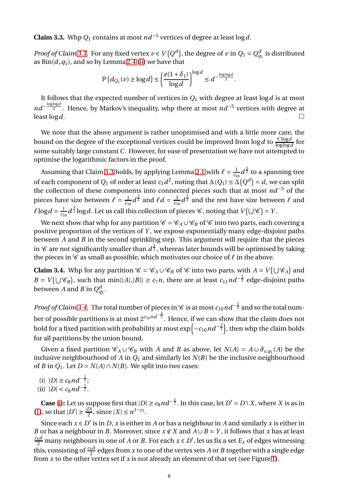<span id="page-7-0"></span>**Claim 3.3.** Whp  $Q_1$  contains at most  $nd^{-5}$  vertices of degree at least  $\log d$ .

*Proof of Claim* [3.3.](#page-7-0) For any fixed vertex  $v \in V(Q^d)$ , the degree of  $v$  in  $Q_1 = Q^d_{q_1}$  is distributed as  $Bin(d, q_1)$ , and so by Lemma [2.4](#page-4-0) [\(ii\)](#page-4-1) we have that

$$
\mathbb{P}\left(d_{Q_1}(\nu) \geq \log d\right) \leq \left(\frac{e(1+\delta_1)}{\log d}\right)^{\log d} \leq d^{-\frac{\log \log d}{2}}.
$$

It follows that the expected number of vertices in  $Q_1$  with degree at least  $\log d$  is at most *nd*<sup>- loglog<sup>d</sup>. Hence, by Markov's inequality, whp there at most *nd*<sup>-5</sup> vertices with degree at</sup> least  $\log d$ .

We note that the above argument is rather unoptimised and with a little more care, the bound on the degree of the exceptional vertices could be improved from log*d* to  $\frac{C \log d}{\log \log d}$  for some suitably large constant *C*. However, for ease of presentation we have not attempted to optimise the logarithmic factors in the proof.

Assuming that Claim [3.3](#page-7-0) holds, by applying Lemma [2.1](#page-3-2) with  $\ell = \frac{1}{c_1}$  $\frac{1}{c_{10}}d^{\frac{3}{2}}$  to a spanning tree of each component of  $Q_1$  of order at least  $c_3 d^2$ , noting that  $\Delta(Q_1) \leq \Delta(Q^d) = d$ , we can split the collection of these components into connected pieces such that at most *nd*−<sup>5</sup> of the pieces have size between  $\ell = \frac{1}{c_1}$  $\frac{1}{c_{10}}d^{\frac{3}{2}}$  and  $\ell d = \frac{1}{c_1}$  $\frac{1}{c_{10}}d^{\frac{5}{2}}$  and the rest have size between  $\ell$  and  $\ell \log d = \frac{1}{c_1}$  $\frac{1}{c_{10}}d^{\frac{3}{2}}\log d.$  Let us call this collection of pieces  $\mathscr C$ , noting that  $V(\bigcup \mathscr C)=Y.$ 

We next show that whp for any partition  $\mathcal{C} = \mathcal{C}_A \cup \mathcal{C}_B$  of  $\mathcal{C}$  into two parts, each covering a positive proportion of the vertices of *Y* , we expose exponentially many edge-disjoint paths between *A* and *B* in the second sprinkling step. This argument will require that the pieces in  $\mathscr C$  are not significantly smaller than  $d^{\frac 32}$ , whereas later bounds will be optimised by taking the pieces in C as small as possible, which motivates our choice of *ℓ* in the above.

<span id="page-7-1"></span>**Claim 3.4.** Whp for any partition  $\mathcal{C} = \mathcal{C}_A \cup \mathcal{C}_B$  of  $\mathcal{C}$  into two parts, with  $A = V(\bigcup \mathcal{C}_A)$  and  $B = V(\bigcup \mathscr{C}_B)$ , such that min{|*A*|,|*B*|} ≥ *c*<sub>7</sub>*n*, there are at least *c*<sub>11</sub>*nd*<sup>− $\frac{3}{2}$  edge-disjoint paths</sup> between *A* and *B* in  $Q_{q_2}^d$ .

*Proof of Claim [3.4.](#page-7-1)* The total number of pieces in  $\mathscr C$  is at most  $c_{10}$  nd<sup>−3</sup> and so the total number of possible partitions is at most 2*c*10*nd*<sup>−</sup> 3 2 . Hence, if we can show that the claim does not hold for a fixed partition with probability at most  $\exp\left(-c_{10}nd^{-\frac{3}{2}}\right)$ , then whp the claim holds for all partitions by the union bound.

Given a fixed partition  $\mathcal{C}_A \cup \mathcal{C}_B$  with *A* and *B* as above, let  $N(A) = A \cup \partial_{v,q_1}(A)$  be the inclusive neighbourhood of *A* in  $Q_1$  and similarly let  $N(B)$  be the inclusive neighbourhood of *B* in  $Q_1$ . Let  $D = N(A) \cap N(B)$ . We split into two cases:

- <span id="page-7-3"></span><span id="page-7-2"></span>(i)  $|D| \ge c_8 n d^{-\frac{1}{2}};$
- (ii)  $|D| < c_8 n d^{-\frac{1}{2}}$ .

**Case** [\(i\)](#page-7-2): Let us suppose first that  $|D| \ge c_8 n d^{-\frac{1}{2}}$ . In this case, let  $D' = D \setminus X$ , where *X* is as in [\(1\)](#page-6-1), so that  $|D'| \ge \frac{|D|}{2}$ , since  $|X| \le n^{1-c_5}$ .

Since each  $x \in D'$  is in *D*, *x* is either in *A* or has a neighbour in *A* and similarly *x* is either in *B* or has a neighbour in *B*. Moreover, since  $x \notin X$  and  $A \cup B = Y$ , it follows that *x* has at least  $\frac{c_4 d}{2}$  many neighbours in one of *A* or *B*. For each  $x \in D'$ , let us fix a set  $E_x$  of edges witnessing this, consisting of  $\frac{c_4 d}{2}$  edges from  $x$  to one of the vertex sets  $A$  or  $B$  together with a single edge from *x* to the other vertex set if *x* is not already an element of that set (see Figure [1\)](#page-8-0).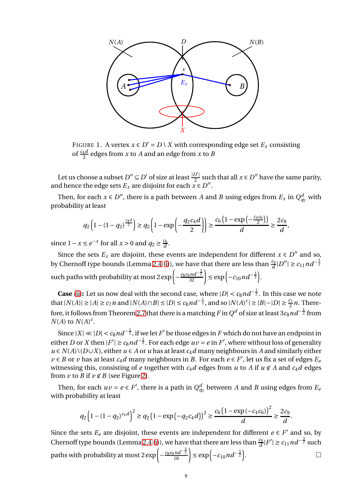

<span id="page-8-0"></span>FIGURE 1. A vertex  $x \in D' = D \setminus X$  with corresponding edge set  $E_x$  consisting of  $\frac{c_4 d}{2}$  edges from *x* to *A* and an edge from *x* to *B* 

Let us choose a subset *D*<sup>*''*</sup> ⊆ *D'* of size at least  $\frac{|D'|}{2}$  such that all *x* ∈ *D''* have the same parity, and hence the edge sets  $E_x$  are disjoint for each  $x \in D''$ .

Then, for each  $x \in D''$ , there is a path between *A* and *B* using edges from  $E_x$  in  $Q_{q_2}^d$  with probability at least

$$
q_2\left(1 - (1 - q_2)^{\frac{c_4 d}{2}}\right) \ge q_2\left(1 - \exp\left(-\frac{q_2 c_4 d}{2}\right)\right) \ge \frac{c_6\left(1 - \exp\left(-\frac{c_4 c_6}{2}\right)\right)}{d} \ge \frac{2c_9}{d}
$$

,

since  $1 - x \le e^{-x}$  for all  $x > 0$  and  $q_2 \ge \frac{c_6}{d}$  $\frac{c_6}{d}$ .

Since the sets  $E_x$  are disjoint, these events are independent for different  $x \in D''$  and so, by Chernoff type bounds (Lemma [2.4](#page-4-0) [\(i\)](#page-4-2)), we have that there are less than  $\frac{c_9}{d}$   $|D''| \ge c_{11}$   $nd^{-\frac{3}{2}}$ such paths with probability at most 2  $\exp\left(-\frac{c_8c_9nd^{-\frac{3}{2}}}{32}\right)$  ≤  $\exp\left(-c_{10}nd^{-\frac{3}{2}}\right)$ .

**Case** [\(ii\)](#page-7-3): Let us now deal with the second case, where  $|D| < c_8 n d^{-\frac{1}{2}}$ . In this case we note that  $|N(A)| \geq |A| \geq c_7 n$  and  $|N(A) \cap B| \leq |D| \leq c_8 n d^{-\frac{1}{2}}$ , and so  $|N(A)^c| \geq |B| - |D| \geq \frac{c_7}{2} n$ . There-fore, it follows from Theorem [2.7](#page-5-3) that there is a matching  $F$  in  $Q^d$  of size at least 3 $c_8 n d^{-\frac{1}{2}}$  from  $N(A)$  to  $N(A)^c$ .

Since  $|X| \ll |D| < c_8 n d^{-\frac{1}{2}}$ , if we let  $F'$  be those edges in  $F$  which do not have an endpoint in either *D* or *X* then  $|F'| \ge c_8 n d^{-\frac{1}{2}}$ . For each edge  $uv = e$  in *F'*, where without loss of generality *u* ∈ *N*(*A*)\(*D*∪*X*), either *u* ∈ *A* or *u* has at least *c*<sub>4</sub>*d* many neighbours in *A* and similarly either  $v \in B$  or *v* has at least  $c_4d$  many neighbours in *B*. For each  $e \in F'$ , let us fix a set of edges  $E_e$ witnessing this, consisting of *e* together with  $c_4d$  edges from *u* to *A* if  $u \notin A$  and  $c_4d$  edges from *v* to *B* if  $v \notin B$  (see Figure [2\)](#page-9-0).

Then, for each  $uv = e \in F'$ , there is a path in  $Q_{q_2}^d$  between *A* and *B* using edges from  $E_e$ with probability at least

$$
q_2\left(1-(1-q_2)^{c_4d}\right)^2\geq q_2\left(1-\exp\left(-q_2c_4d\right)\right)^2\geq \frac{c_6\left(1-\exp\left(-c_4c_6\right)\right)^2}{d}\geq \frac{2c_9}{d}.
$$

Since the sets  $E_e$  are disjoint, these events are independent for different  $e \in F'$  and so, by Chernoff type bounds (Lemma [2.4](#page-4-0) [\(i\)](#page-4-2)), we have that there are less than  $\frac{c_9}{d}|F'| \ge c_{11}nd^{-\frac{3}{2}}$  such paths with probability at most  $2 \exp \left(-\frac{c_8 c_9 n d^{-\frac{3}{2}}}{16}\right) \le \exp \left(-c_{10} n d^{-\frac{3}{2}}\right)$ . — Первый профессиональный профессиональный софийский софийский софийский софийский софийский софийский софий<br>В 1990 году в 1990 году в 1990 году в 1990 году в 1990 году в 1990 году в 1990 году в 1990 году в 1990 году в<br>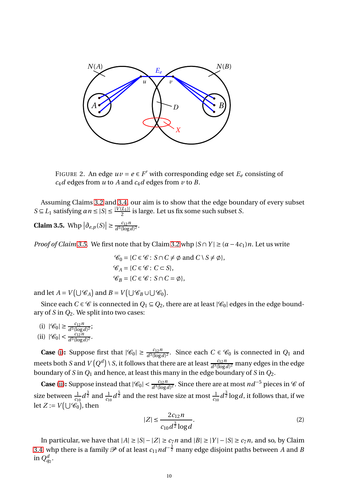

<span id="page-9-0"></span>FIGURE 2. An edge  $uv = e \in F'$  with corresponding edge set  $E_e$  consisting of  $c_4d$  edges from  $u$  to  $A$  and  $c_4d$  edges from  $v$  to  $B$ .

Assuming Claims [3.2](#page-6-0) and [3.4,](#page-7-1) our aim is to show that the edge boundary of every subset  $S \subseteq L_1$  satisfying *αn* ≤ |*S*| ≤  $\frac{|V(L_1)|}{2}$  is large. Let us fix some such subset *S*.

<span id="page-9-1"></span>**Claim 3.5.** Whp  $\left|\frac{\partial e}{\partial \rho} (S)\right| \ge \frac{c_{12}n}{d^3(\log n)}$  $\frac{\iota_{12}n}{d^3(\log d)^2}$ 

*Proof of Claim* [3.5.](#page-9-1) We first note that by Claim [3.2](#page-6-0) whp  $|S \cap Y| \geq (\alpha - 4c_1)n$ . Let us write

$$
\mathcal{C}_0 = \{ C \in \mathcal{C} : S \cap C \neq \emptyset \text{ and } C \setminus S \neq \emptyset \},
$$
  

$$
\mathcal{C}_A = \{ C \in \mathcal{C} : C \subseteq S \},
$$
  

$$
\mathcal{C}_B = \{ C \in \mathcal{C} : S \cap C = \emptyset \},
$$

and let  $A = V(\bigcup \mathscr{C}_A)$  and  $B = V(\bigcup \mathscr{C}_B \cup \bigcup \mathscr{C}_0)$ .

Since each *C* ∈ *C* is connected in  $Q_1$  ⊆  $Q_2$ , there are at least  $|C_0|$  edges in the edge boundary of *S* in *Q*2. We split into two cases:

<span id="page-9-2"></span>(i)  $|\mathcal{C}_0| \ge \frac{c_{12}n}{d^3(\log d)^2}$ ;

<span id="page-9-3"></span>(ii)  $|\mathcal{C}_0| < \frac{c_{12}n}{d^3(\log d)^2}$ .

**Case** [\(i\)](#page-9-2): Suppose first that  $|\mathcal{C}_0| \ge \frac{c_{12}n}{d^3(\log d)^2}$ . Since each  $C \in \mathcal{C}_0$  is connected in  $Q_1$  and meets both *S* and  $V\left(Q^d\right)$  \ *S*, it follows that there are at least  $\frac{c_{12}n}{d^3(\log d)^2}$  many edges in the edge boundary of *S* in  $Q_1$  and hence, at least this many in the edge boundary of *S* in  $Q_2$ .

**Case** [\(ii\)](#page-9-3): Suppose instead that  $|\mathscr{C}_0| < \frac{c_{12}n}{d^3(\log d)^2}$ . Since there are at most  $nd^{-5}$  pieces in  $\mathscr C$  of size between  $\frac{1}{c_{10}}d^{\frac{3}{2}}$  and  $\frac{1}{c_{10}}d^{\frac{5}{2}}$  and the rest have size at most  $\frac{1}{c_{10}}d^{\frac{3}{2}}\log d$ , it follows that, if we let  $Z := V(\bigcup \mathscr{C}_0)$ , then

<span id="page-9-4"></span>
$$
|Z| \le \frac{2c_{12}n}{c_{10}d^{\frac{3}{2}}\log d}.\tag{2}
$$

In particular, we have that  $|A| \ge |S| - |Z| \ge c_7 n$  and  $|B| \ge |Y| - |S| \ge c_7 n$ , and so, by Claim [3.4,](#page-7-1) whp there is a family  ${\mathscr P}$  of at least  $c_{11}$   $nd^{-\frac{3}{2}}$  many edge disjoint paths between  $A$  and  $B$ in  $Q_{q_2}^d$  .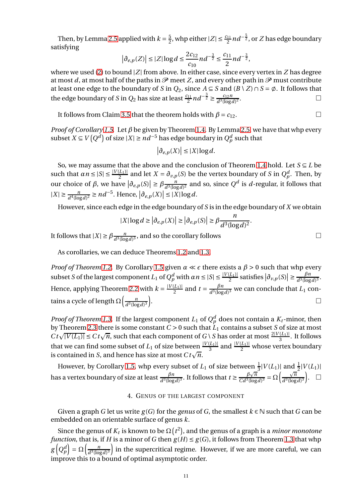Then, by Lemma [2.5](#page-4-3) applied with  $k = \frac{5}{2}$  $\frac{5}{2}$ , whp either  $|Z|$  ≤  $\frac{c_{11}}{2}$ *nd*<sup>−</sup> $\frac{5}{2}$ , or *Z* has edge boundary satisfying

$$
\left|\partial_{e,p}(Z)\right| \leq |Z|\log d \leq \frac{2c_{12}}{c_{10}}nd^{-\frac{3}{2}} \leq \frac{c_{11}}{2}nd^{-\frac{3}{2}},
$$

where we used [\(2\)](#page-9-4) to bound |*Z*| from above. In either case, since every vertex in *Z* has degree at most *d*, at most half of the paths in  $\mathcal P$  meet *Z*, and every other path in  $\mathcal P$  must contribute at least one edge to the boundary of *S* in  $Q_2$ , since  $A \subseteq S$  and  $(B \setminus Z) \cap S = \emptyset$ . It follows that the edge boundary of *S* in  $Q_2$  has size at least  $\frac{c_{11}}{2}nd^{-\frac{3}{2}} \geq \frac{c_{12}n}{d^3(\log d)}$  $d^3$ (log *d*)<sup>2</sup> . — Процессиональные производствование и производствование и производствование и производствование и производс<br>В 1990 году в 1990 году в 1990 году в 1990 году в 1990 году в 1990 году в 1990 году в 1990 году в 1990 году в<br>

It follows from Claim [3.5](#page-9-1) that the theorem holds with  $\beta = c_{12}$ .

*Proof of Corollary [1.5.](#page-2-1)* Let *β* be given by Theorem [1.4.](#page-2-0) By Lemma [2.5,](#page-4-3) we have that whp every subset *X* ⊆ *V*( $Q^d$ ) of size |*X*| ≥ *nd*<sup>−5</sup> has edge boundary in  $Q^d_p$  such that

$$
\left|\partial_{e,p}(X)\right| \leq |X| \log d.
$$

So, we may assume that the above and the conclusion of Theorem [1.4](#page-2-0) hold. Let  $S \subseteq L$  be such that  $\alpha n \leq |S| \leq \frac{|V(L_1)|}{2}$  and let  $X = \partial_{v,p}(S)$  be the vertex boundary of *S* in  $Q_p^d$ . Then, by our choice of  $\beta$ , we have  $\left|\frac{\partial_{e,p}(S)}{\partial s}\right| \geq \beta \frac{n}{d^3(\log n)}$  $\frac{n}{d^3(\log d)^2}$  and so, since  $Q^d$  is  $d$ -regular, it follows that  $|X| \ge \frac{n}{d^4(\log d)^2}$  ≥  $nd^{-5}$ . Hence,  $|\partial_{e,p}(X)| \le |X| \log d$ .

However, since each edge in the edge boundary of *S* is in the edge boundary of *X* we obtain

$$
|X|\log d \geq \left|\partial_{e,p}(X)\right| \geq \left|\partial_{e,p}(S)\right| \geq \beta \frac{n}{d^3(\log d)^2}.
$$

It follows that  $|X| \ge \beta \frac{n}{d^3(\log n)}$  $\frac{n}{d^3(\log d)^3}$ , and so the corollary follows

As corollaries, we can deduce Theorems [1.2](#page-2-2) and [1.3.](#page-2-3)

*Proof of Theorem [1.2.](#page-2-2)* By Corollary [1.5](#page-2-1) given  $\alpha \ll \epsilon$  there exists a  $\beta > 0$  such that whp every subset *S* of the largest component *L*<sub>1</sub> of  $Q_p^d$  with  $\alpha n \leq |S| \leq \frac{|V(L_1)|}{2}$  satisfies  $|\partial_{v,p}(S)| \geq \frac{\beta n}{d^3(\log n)}$  $\frac{p_n}{d^3(\log d)^3}$ . Hence, applying Theorem [2.2](#page-4-4) with  $k = \frac{|V(L_1)|}{2}$  and  $t = \frac{\beta n}{d^3(\log n)}$  $\frac{p}{d^3(\log d)^3}$  we can conclude that  $L_1$  contains a cycle of length  $\Omega\left(\frac{n}{d^3\log n}\right)$  $\frac{n}{d^3(\log d)^3}$ . В последните последните последните последните последните последните последните последните последните последн<br>В последните последните последните последните последните последните последните последните последните последнит

*Proof of Theorem [1.3.](#page-2-3)* If the largest component  $L_1$  of  $Q_p^d$  does not contain a  $K_t$ -minor, then by Theorem [2.3](#page-4-5) there is some constant  $C > 0$  such that  $L_1$  contains a subset *S* of size at most  $C t \sqrt{|V(L_1)|} \leq C t \sqrt{n}$ , such that each component of  $G \setminus S$  has order at most  $\frac{2|V(L_1)|}{3}$ . It follows that we can find some subset of  $L_1$  of size between  $\frac{|V(L_1)|}{3}$  and  $\frac{|V(L_1)|}{2}$  whose vertex boundary is contained in *S*, and hence has size at most  $C t \sqrt{n}$ .

<span id="page-10-0"></span>However, by Corollary [1.5,](#page-2-1) whp every subset of  $L_1$  of size between  $\frac{1}{3}|V(L_1)|$  and  $\frac{1}{2}|V(L_1)|$  $3^{|\mathbf{v}|\mathbf{L}|}$  and 2 has a vertex boundary of size at least  $\frac{\beta n}{d^3(\log d)^3}$ . It follows that  $t \ge \frac{\beta \sqrt{n}}{C d^3(\log d)}$  $\frac{\beta\sqrt{n}}{Cd^3(\log d)^3} = \Omega\left(\frac{\sqrt{n}}{d^3(\log d)}\right)$  $\frac{\sqrt{n}}{d^3(\log d)^3}$ .  $\Box$ 

# 4. GENUS OF THE LARGEST COMPONENT

Given a graph *G* let us write  $g(G)$  for the *genus* of *G*, the smallest  $k \in \mathbb{N}$  such that *G* can be embedded on an orientable surface of genus *k*.

Since the genus of  $K_t$  is known to be  $\Omega\big(t^2\big)$ , and the genus of a graph is a *minor monotone function*, that is, if *H* is a minor of *G* then  $g(H) \le g(G)$ , it follows from Theorem [1.3](#page-2-3) that whp  $g\left(Q_p^d\right) = \Omega\left(\frac{n}{d^3(\log n)}\right)$  $\left(\frac{n}{d^3(\log d)^3}\right)$  in the supercritical regime. However, if we are more careful, we can improve this to a bound of optimal asymptotic order.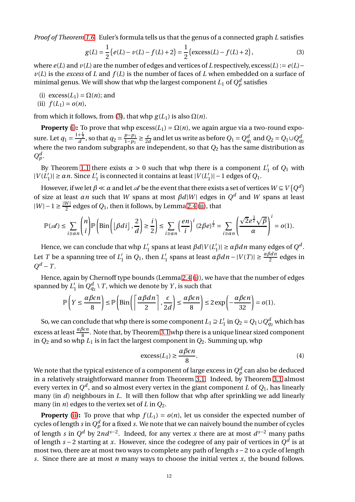*Proof of Theorem [1.6.](#page-3-0)* Euler's formula tells us that the genus of a connected graph *L* satisfies

<span id="page-11-0"></span>
$$
g(L) = \frac{1}{2} (e(L) - v(L) - f(L) + 2) = \frac{1}{2} (\text{excess}(L) - f(L) + 2),
$$
\n(3)

where  $e(L)$  and  $v(L)$  are the number of edges and vertices of *L* respectively, excess(*L*) :=  $e(L)$  –  $v(L)$  is the *excess* of *L* and  $f(L)$  is the number of faces of *L* when embedded on a surface of minimal genus. We will show that whp the largest component  $L_1$  of  $Q_p^d$  satisfies

<span id="page-11-2"></span><span id="page-11-1"></span>(i)  $excess(L_1) = \Omega(n)$ ; and

$$
(ii) f(L_1) = o(n),
$$

from which it follows, from [\(3\)](#page-11-0), that whp  $g(L_1)$  is also  $\Omega(n)$ .

**Property** [\(i\)](#page-11-1): To prove that whp  $excess(L_1) = \Omega(n)$ , we again argue via a two-round exposure. Let  $q_1 = \frac{1+\frac{\epsilon}{2}}{d}$ , so that  $q_2 = \frac{p-p_1}{1-p_1}$  $\frac{p-p_1}{1-p_1}$  ≥  $\frac{\varepsilon}{2a}$  $\frac{\varepsilon}{2d}$  and let us write as before  $Q_1 = Q_{q_1}^d$  and  $Q_2 = Q_1 \cup Q_{q_2}^d$ where the two random subgraphs are independent, so that *Q*<sup>2</sup> has the same distribution as  $Q_p^d$ .

By Theorem [1.1](#page-1-2) there exists  $\alpha > 0$  such that whp there is a component  $L'_1$  of  $Q_1$  with  $|V(L'_1)|$  ≥ *αn*. Since  $L'_1$  is connected it contains at least  $|V(L'_1)|$  − 1 edges of  $Q_1$ .

However, if we let  $\beta \ll \alpha$  and let  $\mathscr A$  be the event that there exists a set of vertices  $W \subseteq V\left(Q^d\right)$ of size at least  $\alpha n$  such that *W* spans at most  $\beta d|W|$  edges in  $Q^d$  and *W* spans at least  $|W| - 1 \ge \frac{|W|}{2}$  edges of  $Q_1$ , then it follows, by Lemma [2.4](#page-4-0) [\(ii\)](#page-4-1), that

$$
\mathbb{P}(\mathscr{A}) \leq \sum_{i \geq \alpha} \binom{n}{i} \mathbb{P}\left(\text{Bin}\left(\left\lfloor \beta d i\right\rfloor, \frac{2}{d}\right) \geq \frac{i}{2}\right) \leq \sum_{i \geq \alpha} \left(\frac{en}{i}\right)^i (2\beta e)^{\frac{i}{2}} = \sum_{i \geq \alpha} \left(\frac{\sqrt{2}e^{\frac{3}{2}}\sqrt{\beta}}{\alpha}\right)^i = o(1).
$$

Hence, we can conclude that whp  $L'_1$  spans at least  $\beta d|V(L'_1)| \ge \alpha \beta d n$  many edges of  $Q^d$ . Let *T* be a spanning tree of  $L'_1$  in  $Q_1$ , then  $L'_1$  spans at least  $\alpha \beta dn - |V(T)| \ge \frac{\alpha \beta dn}{2}$  edges in  $Q^d - T$ .

Hence, again by Chernoff type bounds (Lemma [2.4](#page-4-0) [\(i\)](#page-4-2)), we have that the number of edges spanned by  $L_1'$  in  $Q_{q_2}^d \setminus T$ , which we denote by  $Y$ , is such that

$$
\mathbb{P}\left(Y \le \frac{\alpha\beta\epsilon n}{8}\right) \le \mathbb{P}\left(\text{Bin}\left(\left\lceil\frac{\alpha\beta d n}{2}\right\rceil, \frac{\epsilon}{2d}\right) \le \frac{\alpha\beta\epsilon n}{8}\right) \le 2\exp\left(-\frac{\alpha\beta\epsilon n}{32}\right) = o(1).
$$

So, we can conclude that whp there is some component  $L_1 \supseteq L_1'$  in  $Q_2 = Q_1 \cup Q_{q_2}^d$  which has excess at least  $\frac{\alpha\beta\epsilon n}{8}$ . Note that, by Theorem [3.1](#page-5-1) whp there is a unique linear sized component in *Q*<sup>2</sup> and so whp *L*<sup>1</sup> is in fact the largest component in *Q*2. Summing up, whp

<span id="page-11-3"></span>
$$
\text{excess}(L_1) \ge \frac{\alpha \beta \varepsilon n}{8}.\tag{4}
$$

We note that the typical existence of a component of large excess in  $Q_p^d$  can also be deduced in a relatively straightforward manner from Theorem [3.1.](#page-5-1) Indeed, by Theorem [3.1](#page-5-1) almost every vertex in  $Q^d$ , and so almost every vertex in the giant component  $L$  of  $Q_1$ , has linearly many (in *d*) neighbours in *L*. It will then follow that whp after sprinkling we add linearly many (in *n*) edges to the vertex set of *L* in  $Q_2$ .

**Property** [\(ii\)](#page-11-2): To prove that whp  $f(L_1) = o(n)$ , let us consider the expected number of cycles of length  $s$  in  $Q_p^d$  for a fixed  $s.$  We note that we can naively bound the number of cycles of length *s* in  $Q^d$  by 2nd<sup>*s*−2</sup>. Indeed, for any vertex *x* there are at most  $d^{s-2}$  many paths of length *s* − 2 starting at *x*. However, since the codegree of any pair of vertices in  $Q^d$  is at most two, there are at most two ways to complete any path of length *s* −2 to a cycle of length *s*. Since there are at most *n* many ways to choose the initial vertex *x*, the bound follows.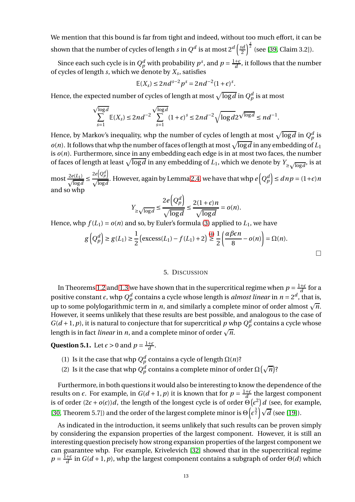We mention that this bound is far from tight and indeed, without too much effort, it can be shown that the number of cycles of length *s* in  $Q^d$  is at most  $2^d\left(\frac{sd}{2}\right)$  $\frac{3}{2}$   $\left($ <sup>2</sup> (see [\[39,](#page-15-6) Claim 3.2]).

Since each such cycle is in  $Q_p^d$  with probability  $p^s$ , and  $p = \frac{1+\epsilon}{d}$ , it follows that the number of cycles of length *s*, which we denote by *X<sup>s</sup>* , satisfies

$$
\mathbb{E}(X_s) \le 2nd^{s-2}p^s = 2nd^{-2}(1+\epsilon)^s.
$$

Hence, the expected number of cycles of length at most  $\sqrt{\log d}$  in  $Q_p^d$  is at most

$$
\sum_{s=1}^{\sqrt{\log d}} \mathbb{E}(X_s) \le 2nd^{-2} \sum_{s=1}^{\sqrt{\log d}} (1+\epsilon)^s \le 2nd^{-2} \sqrt{\log d} 2^{\sqrt{\log d}} \le nd^{-1}.
$$

Hence, by Markov's inequality, whp the number of cycles of length at most  $\sqrt{\log d}$  in  $Q_p^d$  is  $o(n)$ . It follows that whp the number of faces of length at most  $\sqrt{\log d}$  in any embedding of  $L_1$ is *o*(*n*). Furthermore, since in any embedding each edge is in at most two faces, the number of faces of length at least  $\sqrt{\log d}$  in any embedding of *L*<sub>1</sub>, which we denote by  $Y_{\geq \sqrt{\log d}}$ , is at

most  $\frac{2e(L_1)}{\sqrt{\log a}}$  $\frac{1}{\log d}$  $2e\left(Q_p^d\right)$  $\frac{2e(Q_p^a)}{\sqrt{\log d}}$ . However, again by Lemma [2.4,](#page-4-0) we have that whp  $e(Q_p^d) \leq dnp = (1+\epsilon)n$ and so whp

$$
Y_{\geq \sqrt{\log d}} \leq \frac{2e\left(Q_p^d\right)}{\sqrt{\log d}} \leq \frac{2(1+\epsilon)n}{\sqrt{\log d}} = o(n).
$$

Hence, whp  $f(L_1) = o(n)$  and so, by Euler's formula [\(3\)](#page-11-0) applied to  $L_1$ , we have

$$
g\left(Q_p^d\right) \ge g(L_1) \ge \frac{1}{2} \left(\text{excess}(L_1) - f(L_1) + 2\right) \stackrel{(4)}{\ge} \frac{1}{2} \left(\frac{\alpha \beta \epsilon n}{8} - o(n)\right) = \Omega(n).
$$

## 5. DISCUSSION

<span id="page-12-0"></span>In Theorems [1.2](#page-2-2) and [1.3](#page-2-3) we have shown that in the supercritical regime when  $p = \frac{1+\epsilon}{d}$  for a positive constant  $\epsilon$ , whp  $Q_p^d$  contains a cycle whose length is *almost linear* in  $n = 2^d$ , that is, up to some polylogarithmic term in *n*, and similarly a complete minor of order almost  $\sqrt{n}$ . However, it seems unlikely that these results are best possible, and analogous to the case of  $G(d+1, p)$ , it is natural to conjecture that for supercritical  $p$  whp  $Q_p^d$  contains a cycle whose length is in fact *linear* in *n*, and a complete minor of order  $\sqrt{n}$ .

**Question 5.1.** Let  $\epsilon > 0$  and  $p = \frac{1+\epsilon}{d}$ .

- (1) Is it the case that whp  $Q_p^d$  contains a cycle of length  $\Omega(n)$ ?
- (2) Is it the case that whp  $Q_p^d$  contains a complete minor of order  $\Omega(\sqrt{n})$ ?

Furthermore, in both questions it would also be interesting to know the dependence of the results on  $\epsilon$ . For example, in  $G(d+1, p)$  it is known that for  $p = \frac{1+\epsilon}{d}$  the largest component is of order  $(2\epsilon + o(\epsilon))d$ , the length of the longest cycle is of order  $\Theta(\epsilon^2)d$  (see, for example, [\[30,](#page-14-3) Theorem 5.7]) and the order of the largest complete minor is  $\Theta\left(\epsilon^{\frac{3}{2}}\right)\sqrt{d}$  (see [\[19\]](#page-14-26)).

As indicated in the introduction, it seems unlikely that such results can be proven simply by considering the expansion properties of the largest component. However, it is still an interesting question precisely how strong expansion properties of the largest component we can guarantee whp. For example, Krivelevich [\[32\]](#page-14-27) showed that in the supercritical regime  $p = \frac{1+\epsilon}{d}$  in  $G(d+1, p)$ , whp the largest component contains a subgraph of order Θ(*d*) which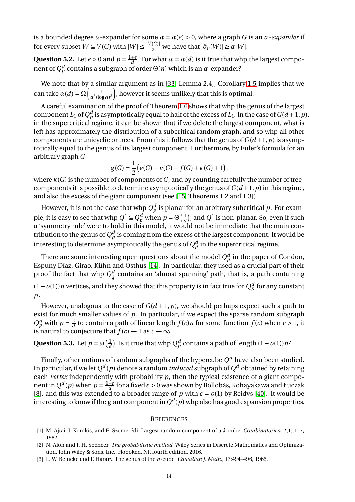is a bounded degree *α*-expander for some  $\alpha = \alpha(\epsilon) > 0$ , where a graph *G* is an *α-expander* if for every subset  $W \subseteq V(G)$  with  $|W| \leq \frac{|V(G)|}{2}$  we have that  $|\partial_v(W)| \geq \alpha |W|$ .

**Question 5.2.** Let  $\epsilon > 0$  and  $p = \frac{1+\epsilon}{d}$ . For what  $\alpha = \alpha(d)$  is it true that whp the largest component of  $Q_{p}^{d}$  contains a subgraph of order Θ(*n*) which is an *α* -expander?

We note that by a similar argument as in [\[33,](#page-14-20) Lemma 2.4], Corollary [1.5](#page-2-1) implies that we can take  $\alpha(d) = \Omega\left(\frac{1}{d^3(\log d)}\right)$  $\frac{1}{d^3(\log d)^3}$ ), however it seems unlikely that this is optimal.

A careful examination of the proof of Theorem [1.6](#page-3-0) shows that whp the genus of the largest component *L*<sub>1</sub> of  $Q_p^d$  is asymptotically equal to half of the excess of *L*<sub>1</sub>. In the case of  $G(d+1, p)$ , in the supercritical regime, it can be shown that if we delete the largest component, what is left has approximately the distribution of a subcritical random graph, and so whp all other components are unicyclic or trees. From this it follows that the genus of  $G(d+1, p)$  is asymptotically equal to the genus of its largest component. Furthermore, by Euler's formula for an arbitrary graph *G*

$$
g(G) = \frac{1}{2} (e(G) - v(G) - f(G) + \kappa(G) + 1),
$$

where *κ*(*G*) is the number of components of *G*, and by counting carefully the number of treecomponents it is possible to determine asymptotically the genus of  $G(d+1, p)$  in this regime, and also the excess of the giant component (see [\[15,](#page-14-28) Theorems 1.2 and 1.3]).

However, it is not the case that whp  $Q_p^d$  is planar for an arbitrary subcritical  $p.$  For example, it is easy to see that whp  $Q^4 \subseteq Q_p^d$  when  $p = \Theta\left(\frac{1}{d}\right)$  $\frac{1}{d}$ ), and  $Q^4$  is non-planar. So, even if such a 'symmetry rule' were to hold in this model, it would not be immediate that the main contribution to the genus of  $Q^d_p$  is coming from the excess of the largest component. It would be interesting to determine asymptotically the genus of  $Q_p^d$  in the supercritical regime.

There are some interesting open questions about the model  $Q_p^d$  in the paper of Condon, Espuny Díaz, Girao, Kühn and Osthus [\[14\]](#page-14-12). In particular, they used as a crucial part of their proof the fact that whp  $Q_{\perp}^{d}$  contains an 'almost spanning' path, that is, a path containing (1 − *o*(1))*n* vertices, and they showed that this property is in fact true for  $Q_p^d$  for any constant *p*.

However, analogous to the case of  $G(d+1, p)$ , we should perhaps expect such a path to exist for much smaller values of *p*. In particular, if we expect the sparse random subgraph  $Q_p^d$  with  $p = \frac{c}{a}$  $\frac{c}{d}$  to contain a path of linear length  $f(c)n$  for some function  $f(c)$  when  $c > 1$ , it is natural to conjecture that  $f(c) \rightarrow 1$  as  $c \rightarrow \infty$ .

**Question 5.3.** Let  $p = \omega \left( \frac{1}{d} \right)$  $\frac{1}{d}$ ). Is it true that whp  $Q_p^d$  contains a path of length (1 − *o*(1))*n*?

Finally, other notions of random subgraphs of the hypercube  $Q^d$  have also been studied. In particular, if we let  $Q^d(p)$  denote a random *induced* subgraph of  $Q^d$  obtained by retaining each *vertex* independently with probability *p*, then the typical existence of a giant component in  $Q^d(p)$  when  $p = \frac{1+\epsilon}{d}$  for a fixed  $\epsilon > 0$  was shown by Bollobás, Kohayakawa and Łuczak [\[8\]](#page-14-29), and this was extended to a broader range of *p* with  $\epsilon = o(1)$  by Reidys [\[40\]](#page-15-9). It would be interesting to know if the giant component in  $Q^d(p)$  whp also has good expansion properties.

#### **REFERENCES**

- <span id="page-13-2"></span><span id="page-13-0"></span>[1] M. Ajtai, J. Komlós, and E. Szemerédi. Largest random component of a *k*-cube. *Combinatorica*, 2(1):1–7, 1982.
- [2] N. Alon and J. H. Spencer. *The probabilistic method*. Wiley Series in Discrete Mathematics and Optimization. John Wiley & Sons, Inc., Hoboken, NJ, fourth edition, 2016.
- <span id="page-13-1"></span>[3] L. W. Beineke and F. Harary. The genus of the *n*-cube. *Canadian J. Math.*, 17:494–496, 1965.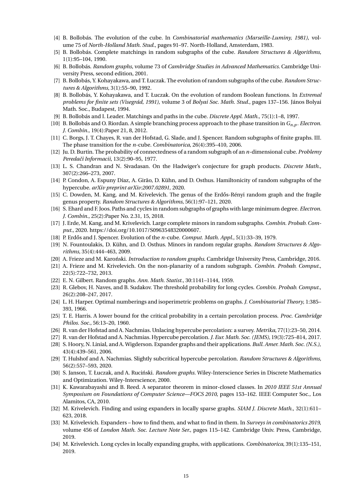- <span id="page-14-11"></span><span id="page-14-10"></span>[4] B. Bollobás. The evolution of the cube. In *Combinatorial mathematics (Marseille-Luminy, 1981)*, volume 75 of *North-Holland Math. Stud.*, pages 91–97. North-Holland, Amsterdam, 1983.
- <span id="page-14-1"></span>[5] B. Bollobás. Complete matchings in random subgraphs of the cube. *Random Structures & Algorithms*, 1(1):95–104, 1990.
- <span id="page-14-13"></span>[6] B. Bollobás. *Random graphs*, volume 73 of *Cambridge Studies in Advanced Mathematics*. Cambridge University Press, second edition, 2001.
- <span id="page-14-29"></span>[7] B. Bollobás, Y. Kohayakawa, and T. Łuczak. The evolution of random subgraphs of the cube. *Random Structures & Algorithms*, 3(1):55–90, 1992.
- [8] B. Bollobás, Y. Kohayakawa, and T. Łuczak. On the evolution of random Boolean functions. In *Extremal problems for finite sets (Visegrád, 1991)*, volume 3 of *Bolyai Soc. Math. Stud.*, pages 137–156. János Bolyai Math. Soc., Budapest, 1994.
- <span id="page-14-30"></span><span id="page-14-25"></span>[9] B. Bollobás and I. Leader. Matchings and paths in the cube. *Discrete Appl. Math.*, 75(1):1–8, 1997.
- [10] B. Bollobás and O. Riordan. A simple branching process approach to the phase transition in  $G_{n,n}$ . *Electron*. *J. Combin.*, 19(4):Paper 21, 8, 2012.
- <span id="page-14-14"></span>[11] C. Borgs, J. T. Chayes, R. van der Hofstad, G. Slade, and J. Spencer. Random subgraphs of finite graphs. III. The phase transition for the *n*-cube. *Combinatorica*, 26(4):395–410, 2006.
- <span id="page-14-8"></span>[12] Ju. D. Burtin. The probability of connectedness of a random subgraph of an *n*-dimensional cube. *Problemy Peredaˇci Informacii*, 13(2):90–95, 1977.
- <span id="page-14-18"></span><span id="page-14-12"></span>[13] L. S. Chandran and N. Sivadasan. On the Hadwiger's conjecture for graph products. *Discrete Math.*, 307(2):266–273, 2007.
- [14] P. Condon, A. Espuny Díaz, A. Girão, D. Kühn, and D. Osthus. Hamiltonicity of random subgraphs of the hypercube. *arXiv preprint arXiv:2007.02891*, 2020.
- <span id="page-14-28"></span>[15] C. Dowden, M. Kang, and M. Krivelevich. The genus of the Erdős-Rényi random graph and the fragile genus property. *Random Structures & Algorithms*, 56(1):97–121, 2020.
- <span id="page-14-4"></span>[16] S. Ehard and F. Joos. Paths and cycles in random subgraphs of graphs with large minimum degree. *Electron. J. Combin.*, 25(2):Paper No. 2.31, 15, 2018.
- <span id="page-14-6"></span>[17] J. Erde, M. Kang, and M. Krivelevich. Large complete minors in random subgraphs. *Combin. Probab. Comput.*, 2020. https://doi.org/10.1017/S0963548320000607.
- <span id="page-14-26"></span><span id="page-14-9"></span>[18] P. Erd˝os and J. Spencer. Evolution of the *n*-cube. *Comput. Math. Appl.*, 5(1):33–39, 1979.
- [19] N. Fountoulakis, D. Kühn, and D. Osthus. Minors in random regular graphs. *Random Structures & Algorithms*, 35(4):444–463, 2009.
- <span id="page-14-5"></span><span id="page-14-2"></span>[20] A. Frieze and M. Karoński. *Introduction to random graphs*. Cambridge University Press, Cambridge, 2016.
- [21] A. Frieze and M. Krivelevich. On the non-planarity of a random subgraph. *Combin. Probab. Comput.*, 22(5):722–732, 2013.
- <span id="page-14-7"></span><span id="page-14-0"></span>[22] E. N. Gilbert. Random graphs. *Ann. Math. Statist.*, 30:1141–1144, 1959.
- [23] R. Glebov, H. Naves, and B. Sudakov. The threshold probability for long cycles. *Combin. Probab. Comput.*, 26(2):208–247, 2017.
- <span id="page-14-24"></span>[24] L. H. Harper. Optimal numberings and isoperimetric problems on graphs. *J. Combinatorial Theory*, 1:385– 393, 1966.
- <span id="page-14-23"></span>[25] T. E. Harris. A lower bound for the critical probability in a certain percolation process. *Proc. Cambridge Philos. Soc.*, 56:13–20, 1960.
- <span id="page-14-17"></span><span id="page-14-16"></span>[26] R. van der Hofstad and A. Nachmias. Unlacing hypercube percolation: a survey. *Metrika*, 77(1):23–50, 2014.
- <span id="page-14-19"></span>[27] R. van der Hofstad and A. Nachmias. Hypercube percolation.*J. Eur. Math. Soc. (JEMS)*, 19(3):725–814, 2017.
- [28] S. Hoory, N. Linial, and A. Wigderson. Expander graphs and their applications. *Bull. Amer. Math. Soc. (N.S.)*, 43(4):439–561, 2006.
- <span id="page-14-15"></span>[29] T. Hulshof and A. Nachmias. Slightly subcritical hypercube percolation. *Random Structures & Algorithms*, 56(2):557–593, 2020.
- <span id="page-14-3"></span>[30] S. Janson, T. Łuczak, and A. Ruciński. *Random graphs*. Wiley-Interscience Series in Discrete Mathematics and Optimization. Wiley-Interscience, 2000.
- <span id="page-14-22"></span>[31] K. Kawarabayashi and B. Reed. A separator theorem in minor-closed classes. In *2010 IEEE 51st Annual Symposium on Foundations of Computer Science—FOCS 2010*, pages 153–162. IEEE Computer Soc., Los Alamitos, CA, 2010.
- <span id="page-14-27"></span>[32] M. Krivelevich. Finding and using expanders in locally sparse graphs. *SIAM J. Discrete Math.*, 32(1):611– 623, 2018.
- <span id="page-14-20"></span>[33] M. Krivelevich. Expanders – how to find them, and what to find in them. In *Surveys in combinatorics 2019*, volume 456 of *London Math. Soc. Lecture Note Ser.*, pages 115–142. Cambridge Univ. Press, Cambridge, 2019.
- <span id="page-14-21"></span>[34] M. Krivelevich. Long cycles in locally expanding graphs, with applications. *Combinatorica*, 39(1):135–151, 2019.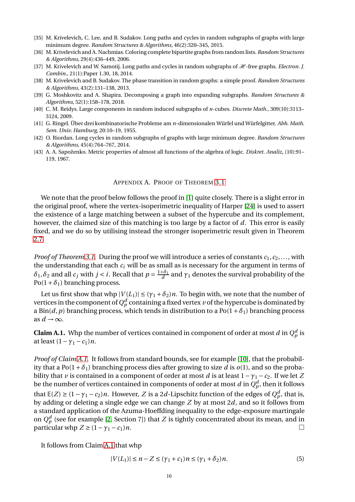- <span id="page-15-7"></span><span id="page-15-2"></span>[35] M. Krivelevich, C. Lee, and B. Sudakov. Long paths and cycles in random subgraphs of graphs with large minimum degree. *Random Structures & Algorithms*, 46(2):320–345, 2015.
- <span id="page-15-0"></span>[36] M. Krivelevich and A. Nachmias. Coloring complete bipartite graphs from random lists. *Random Structures & Algorithms*, 29(4):436–449, 2006.
- <span id="page-15-1"></span>[37] M. Krivelevich and W. Samotij. Long paths and cycles in random subgraphs of  $\mathcal{H}$ -free graphs. *Electron. J. Combin.*, 21(1):Paper 1.30, 18, 2014.
- <span id="page-15-6"></span>[38] M. Krivelevich and B. Sudakov. The phase transition in random graphs: a simple proof. *Random Structures & Algorithms*, 43(2):131–138, 2013.
- <span id="page-15-9"></span>[39] G. Moshkovitz and A. Shapira. Decomposing a graph into expanding subgraphs. *Random Structures & Algorithms*, 52(1):158–178, 2018.
- <span id="page-15-5"></span>[40] C. M. Reidys. Large components in random induced subgraphs of *n*-cubes. *Discrete Math.*, 309(10):3113– 3124, 2009.
- [41] G. Ringel. Über drei kombinatorische Probleme am *n*-dimensionalen Würfel und Würfelgitter. *Abh. Math. Sem. Univ. Hamburg*, 20:10–19, 1955.
- <span id="page-15-3"></span>[42] O. Riordan. Long cycles in random subgraphs of graphs with large minimum degree. *Random Structures & Algorithms*, 45(4):764–767, 2014.
- <span id="page-15-8"></span><span id="page-15-4"></span>[43] A. A. Sapoženko. Metric properties of almost all functions of the algebra of logic. *Diskret. Analiz*, (10):91– 119, 1967.

## APPENDIX A. PROOF OF THEOREM [3.1](#page-5-1)

We note that the proof below follows the proof in [\[1\]](#page-13-0) quite closely. There is a slight error in the original proof, where the vertex-isoperimetric inequality of Harper [\[24\]](#page-14-24) is used to assert the existence of a large matching between a subset of the hypercube and its complement, however, the claimed size of this matching is too large by a factor of *d*. This error is easily fixed, and we do so by utilising instead the stronger isoperimetric result given in Theorem [2.7.](#page-5-3)

*Proof of Theorem [3.1.](#page-5-1)* During the proof we will introduce a series of constants  $c_1, c_2, \ldots$ , with the understanding that each *c<sup>i</sup>* will be as small as is necessary for the argument in terms of *δ*<sub>1</sub>, *δ*<sub>2</sub> and all *c<sub>j</sub>* with *j* < *i*. Recall that  $p = \frac{1+\delta_1}{d}$  and  $γ_1$  denotes the survival probability of the  $Po(1+\delta_1)$  branching process.

Let us first show that whp  $|V(L_1)| \leq (\gamma_1 + \delta_2)n$ . To begin with, we note that the number of vertices in the component of  $Q^d_p$  containing a fixed vertex  $\nu$  of the hypercube is dominated by a Bin( $d$ , $p$ ) branching process, which tends in distribution to a Po( $1 + \delta_1$ ) branching process as  $d \rightarrow \infty$ .

<span id="page-15-10"></span>**Claim A.1.** Whp the number of vertices contained in component of order at most  $d$  in  $Q_p^d$  is at least  $(1 - \gamma_1 - c_1)n$ .

*Proof of Claim [A.1.](#page-15-10)* It follows from standard bounds, see for example [\[10\]](#page-14-30), that the probability that a Po( $1 + \delta_1$ ) branching process dies after growing to size *d* is *o*(1), and so the probability that *v* is contained in a component of order at most *d* is at least  $1 - \gamma_1 - c_2$ . If we let *Z* be the number of vertices contained in components of order at most  $d$  in  $Q_p^d$ , then it follows that  $\mathbb{E}(Z) \geq (1 - \gamma_1 - c_2)n$ . However, *Z* is a 2*d*-Lipschitz function of the edges of  $Q_p^d$ , that is, by adding or deleting a single edge we can change *Z* by at most 2*d*, and so it follows from a standard application of the Azuma-Hoeffding inequality to the edge-exposure martingale on  $Q_p^d$  (see for example [\[2,](#page-13-2) Section 7]) that  $Z$  is tightly concentrated about its mean, and in particular whp  $Z \geq (1 - \gamma_1 - c_1)n$ .

It follows from Claim [A.1](#page-15-10) that whp

<span id="page-15-11"></span>
$$
|V(L_1)| \le n - Z \le (\gamma_1 + c_1)n \le (\gamma_1 + \delta_2)n. \tag{5}
$$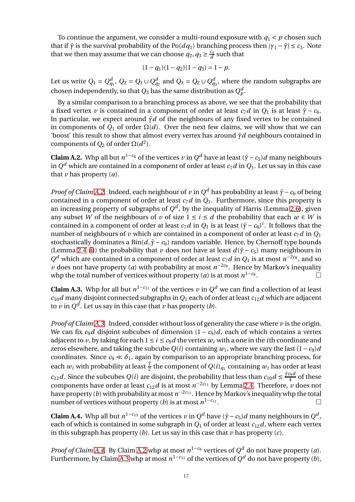To continue the argument, we consider a multi-round exposure with  $q_1 < p$  chosen such that if  $\hat{\gamma}$  is the survival probability of the Po( $dq_1$ ) branching process then  $|\gamma_1 - \hat{\gamma}| \leq c_3$ . Note that we then may assume that we can choose  $q_2, q_3 \geq \frac{c_4}{d}$  $\frac{c_4}{d}$  such that

$$
(1 - q1)(1 - q2)(1 - q3) = 1 - p.
$$

Let us write  $Q_1 = Q_{q_1}^d$ ,  $Q_2 = Q_1 \cup Q_{q_2}^d$  and  $Q_3 = Q_2 \cup Q_{q_3}^d$ , where the random subgraphs are chosen independently, so that  $Q_3$  has the same distribution as  $Q_p^d$ .

By a similar comparison to a branching process as above, we see that the probability that a fixed vertex *v* is contained in a component of order at least  $c_7d$  in  $Q_1$  is at least  $\hat{\gamma} - c_6$ . In particular, we expect around *γ*ˆ*d* of the neighbours of any fixed vertex to be contained in components of  $Q_1$  of order  $\Omega(d)$ . Over the next few claims, we will show that we can 'boost' this result to show that almost every vertex has around *γ*ˆ*d* neighbours contained in components of  $Q_2$  of order  $\Omega(d^2)$ .

<span id="page-16-0"></span>**Claim A.2.** Whp all but  $n^{1-c_8}$  of the vertices *v* in  $Q^d$  have at least ( $\hat{\gamma}$  − *c*<sub>5</sub>)*d* many neighbours in  $Q^d$  which are contained in a component of order at least  $c_7d$  in  $Q_1.$  Let us say in this case that  $\nu$  has property  $(a)$ .

*Proof of Claim [A.2.](#page-16-0)* Indeed, each neighbour of *v* in  $Q^d$  has probability at least  $\hat{\gamma}$  −  $c_6$  of being contained in a component of order at least  $c_7d$  in  $Q_1$ . Furthermore, since this property is an increasing property of subgraphs of  $Q^d$ , by the inequality of Harris (Lemma [2.6\)](#page-5-4), given any subset *W* of the neighbours of *v* of size  $1 \le i \le d$  the probability that each  $w \in W$  is contained in a component of order at least  $c_7d$  in  $Q_1$  is at least  $(\hat{\gamma} - c_6)^i$ . It follows that the number of neighbours of *v* which are contained in a component of order at least  $c_7d$  in  $Q_1$ stochastically dominates a  $Bin(d, \hat{\gamma} - c_6)$  random variable. Hence, by Chernoff type bounds (Lemma [2.4](#page-4-0) [\(i\)](#page-4-2)) the probability that *v* does not have at least  $d(\hat{\gamma} - c_5)$  many neighbours in  $Q^d$  which are contained in a component of order at least *c*<sub>7</sub>*d* in  $Q_1$  is at most *n*<sup>−2*c*8</sup>, and so *v* does not have property (*a*) with probability at most  $n^{-2c_8}$ . Hence by Markov's inequality whp the total number of vertices without property (*a*) is at most  $n^{1-c_8}$ .

<span id="page-16-1"></span>**Claim A.3.** Whp for all but  $n^{1-c_{11}}$  of the vertices  $\nu$  in  $Q^d$  we can find a collection of at least  $c_{10}d$  many disjoint connected subgraphs in  $Q_1$  each of order at least  $c_{12}d$  which are adjacent to  $\nu$  in  $Q^d$ . Let us say in this case that  $\nu$  has property (*b*).

*Proof of Claim [A.3.](#page-16-1)* Indeed, consider without loss of generality the case where *v* is the origin. We can fix  $c_9d$  disjoint subcubes of dimension  $(1 - c_9)d$ , each of which contains a vertex adjacent to *v*, by taking for each  $1 \le i \le c_9d$  the vertex  $w_i$  with a one in the *i*th coordinate and zeros elsewhere, and taking the subcube  $Q(i)$  containing  $w_i$ , where we vary the last  $(1-c_9)d$ coordinates. Since  $c_9 \ll \delta_1$ , again by comparison to an appropriate branching process, for each  $w_i$  with probability at least  $\frac{\hat{Y}}{2}$  the component of  $Q(i)_{q_1}$  containing  $w_i$  has order at least *c*<sub>12</sub>*d*. Since the subcubes *Q*(*i*) are disjoint, the probability that less than  $c_{10}d \leq \frac{\hat{\gamma}c_9d}{4}$  $rac{4}{4}$  of these components have order at least  $c_{12}d$  is at most  $n^{-2c_{11}}$  by Lemma [2.4.](#page-4-0) Therefore,  $\nu$  does not have property (*b*) with probability at most *n* <sup>−</sup>2*c*<sup>11</sup> . Hence by Markov's inequality whp the total number of vertices without property (*b*) is at most  $n^{1-c_{11}}$ .

<span id="page-16-2"></span>**Claim A.4.** Whp all but  $n^{1-c_{13}}$  of the vertices *v* in  $Q^d$  have  $(\hat{\gamma} - c_5)d$  many neighbours in  $Q^d$ , each of which is contained in some subgraph in  $Q_1$  of order at least  $c_{12}d$ , where each vertex in this subgraph has property (*b*). Let us say in this case that *v* has property (*c*).

*Proof of Claim [A.4.](#page-16-2)* By Claim [A.2](#page-16-0) whp at most  $n^{1-c_8}$  vertices of  $Q^d$  do not have property (*a*). Furthermore, by Claim [A.3](#page-16-1) whp at most  $n^{1-c_{11}}$  of the vertices of  $Q^d$  do not have property (*b*),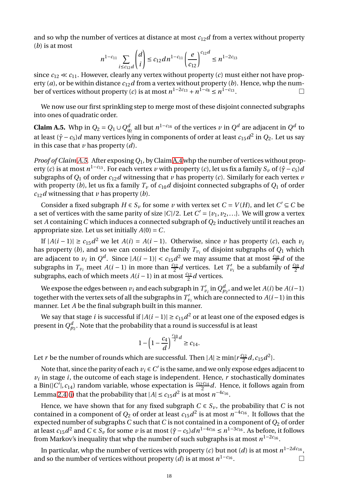and so whp the number of vertices at distance at most  $c_{12}d$  from a vertex without property (*b*) is at most

$$
n^{1-c_{11}}\sum_{i\leq c_{12}d} \binom{d}{i} \leq c_{12}dn^{1-c_{11}}\left(\frac{e}{c_{12}}\right)^{c_{12}d} \leq n^{1-2c_{13}}
$$

since  $c_{12} \ll c_{11}$ . However, clearly any vertex without property (*c*) must either not have property (*a*), or be within distance  $c_{12}d$  from a vertex without property (*b*). Hence, whp the number of vertices without property  $(c)$  is at most  $n^{1-2c_{13}} + n^{1-c_8} \le n^{1-c_{13}}$ .

We now use our first sprinkling step to merge most of these disjoint connected subgraphs into ones of quadratic order.

<span id="page-17-0"></span>**Claim A.5.** Whp in  $Q_2 = Q_1 \cup Q_{q_2}^d$  all but  $n^{1-c_{16}}$  of the vertices  $\nu$  in  $Q^d$  are adjacent in  $Q^d$  to at least  $(\hat{\gamma} - c_5)d$  many vertices lying in components of order at least  $c_{15}d^2$  in  $Q_2$ . Let us say in this case that *v* has property (*d*).

*Proof of Claim [A.5.](#page-17-0)* After exposing*Q*1, by Claim [A.4](#page-16-2) whp the number of vertices without property (*c*) is at most  $n^{1-c_{13}}$ . For each vertex *v* with property (*c*), let us fix a family  $S_v$  of ( $\hat{\gamma} - c_5$ ) *d* subgraphs of  $Q_1$  of order  $c_{12}d$  witnessing that  $\nu$  has property (*c*). Similarly for each vertex  $\nu$ with property (*b*), let us fix a family  $T_\nu$  of  $c_{10}d$  disjoint connected subgraphs of  $Q_1$  of order  $c_{12}d$  witnessing that *v* has property (*b*).

Consider a fixed subgraph  $H \in S_v$  for some *v* with vertex set  $C = V(H)$ , and let  $C' \subseteq C$  be a set of vertices with the same parity of size  $|C|/2$ . Let  $C' = \{v_1, v_2, ...\}$ . We will grow a vertex set *A* containing*C* which induces a connected subgraph of *Q*<sup>2</sup> inductively until it reaches an appropriate size. Let us set initially  $A(0) = C$ .

If  $|A(i-1)|$  ≥  $c_{15}d^2$  we let  $A(i) = A(i-1)$ . Otherwise, since *v* has property (*c*), each *v*<sub>*i*</sub> has property (*b*), and so we can consider the family  $T_{\nu_i}$  of disjoint subgraphs of  $Q_1$  which are adjacent to  $v_i$  in  $Q^d$ . Since  $|A(i-1)| < c_{15}d^2$  we may assume that at most  $\frac{c_{10}}{2}d$  of the subgraphs in  $T_{\nu_i}$  meet  $A(i-1)$  in more than  $\frac{c_{12}}{2}d$  vertices. Let  $T'_{\nu_i}$  be a subfamily of  $\frac{c_{10}}{2}d$ subgraphs, each of which meets  $A(i-1)$  in at most  $\frac{c_{12}}{2}d$  vertices.

We expose the edges between  $v_i$  and each subgraph in  $T'_{v_i}$  in  $Q_{p_2}^d$ , and we let  $A(i)$  be  $A(i-1)$ together with the vertex sets of all the subgraphs in  $T'_{\nu_i}$  which are connected to  $A(i-1)$  in this manner. Let *A* be the final subgraph built in this manner.

We say that stage *i* is successful if  $|A(i-1)| \ge c_{15}d^2$  or at least one of the exposed edges is present in  $Q_{p_2}^d.$  Note that the probability that a round is successful is at least

$$
1 - \left(1 - \frac{c_4}{d}\right)^{\frac{c_{10}}{2} d} \ge c_{14}.
$$

Let *r* be the number of rounds which are successful. Then  $|A| \ge \min\{r\frac{c_{12}}{2}\}$  $\frac{d}{2}d$ ,  $c_{15}d^2$ .

Note that, since the parity of each  $v_i \in C'$  is the same, and we only expose edges adjacent to  $v_i$  in stage  $i$ , the outcome of each stage is independent. Hence,  $r$  stochastically dominates a Bin( $|C|$ ,  $c_{14}$ ) random variable, whose expectation is  $\frac{c_{12}c_{14}}{2}d$ . Hence, it follows again from Lemma [2.4](#page-4-0) [\(i\)](#page-4-2) that the probability that  $|A| \le c_{15} d^2$  is at most  $n^{-4c_{16}}$ .

Hence, we have shown that for any fixed subgraph  $C \in S_v$ , the probability that *C* is not contained in a component of  $Q_2$  of order at least  $c_{15}d^2$  is at most  $n^{-4c_{16}}.$  It follows that the expected number of subgraphs*C* such that*C* is not contained in a component of *Q*<sup>2</sup> of order at least  $c_{15}d^2$  and  $C \in S_v$  for some *v* is at most  $(\hat{\gamma} - c_5)dn^{1-4c_{16}} \leq n^{1-3c_{16}}$ . As before, it follows from Markov's inequality that whp the number of such subgraphs is at most  $n^{1-2c_{16}}.$ 

In particular, whp the number of vertices with property (*c*) but not (*d*) is at most  $n^{1-2d c_{16}}$ , and so the number of vertices without property (*d*) is at most  $n^{1-c_{16}}$ . — Процессиональные просто производство и продага в собстановки с производство и производство и с производств<br>В собстановки с производство и с производство и с производство и с производство и с производство и с производс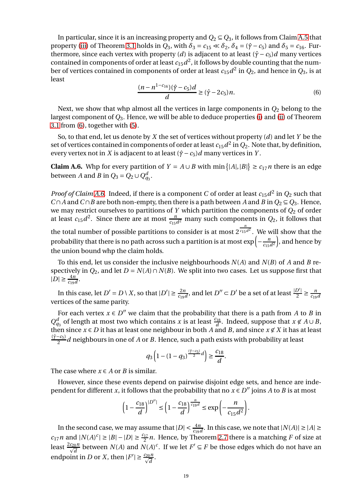In particular, since it is an increasing property and  $Q_2 \subseteq Q_3$ , it follows from Claim [A.5](#page-17-0) that property [\(iii\)](#page-5-2) of Theorem [3.1](#page-5-1) holds in  $Q_3$ , with  $\delta_3 = c_{15} \ll \delta_2$ ,  $\delta_4 = (\hat{\gamma} - c_5)$  and  $\delta_5 = c_{16}$ . Furthermore, since each vertex with property (*d*) is adjacent to at least  $(\hat{\gamma} - c_5)d$  many vertices contained in components of order at least  $c_{15}d^2$ , it follows by double counting that the number of vertices contained in components of order at least  $c_{15}d^2$  in  $Q_2$ , and hence in  $Q_3$ , is at least

<span id="page-18-0"></span>
$$
\frac{(n - n^{1 - c_{16}})(\hat{\gamma} - c_5)d}{d} \ge (\hat{\gamma} - 2c_5)n.
$$
 (6)

Next, we show that whp almost all the vertices in large components in  $Q_2$  belong to the largest component of *Q*3. Hence, we will be able to deduce properties [\(i\)](#page-5-5) and [\(ii\)](#page-5-6) of Theorem [3.1](#page-5-1) from [\(6\)](#page-18-0), together with [\(5\)](#page-15-11).

So, to that end, let us denote by *X* the set of vertices without property (*d*) and let *Y* be the set of vertices contained in components of order at least  $c_{15}d^2$  in  $Q_2$ . Note that, by definition, every vertex not in *X* is adjacent to at least  $(\hat{\gamma} - c_5)d$  many vertices in *Y*.

<span id="page-18-1"></span>**Claim A.6.** Whp for every partition of  $Y = A \cup B$  with  $\min\{|A|, |B|\} \ge c_{17}n$  there is an edge between *A* and *B* in  $Q_3 = Q_2 \cup Q_{q_3}^d$ .

*Proof of Claim [A.6.](#page-18-1)* Indeed, if there is a component *C* of order at least  $c_{15}d^2$  in  $Q_2$  such that *C*∩*A* and *C*∩*B* are both non-empty, then there is a path between *A* and *B* in  $Q_2$  ⊆  $Q_3$ . Hence, we may restrict ourselves to partitions of *Y* which partition the components of *Q*<sup>2</sup> of order at least  $c_{15}d^2$ . Since there are at most  $\frac{n}{c_{15}d^2}$  many such components in  $Q_2$ , it follows that the total number of possible partitions to consider is at most  $2^{\frac{n}{c_{15}}}$  $\sqrt[c_{15}d^2]$ . We will show that the

probability that there is no path across such a partition is at most  $\exp\left(-\frac{n}{c_{150}}\right)$  $\left(\frac{n}{c_{15}d^2}\right)$ , and hence by the union bound whp the claim holds.

To this end, let us consider the inclusive neighbourhoods *N*(*A*) and *N*(*B*) of *A* and *B* respectively in  $Q_2$ , and let  $D = N(A) \cap N(B)$ . We split into two cases. Let us suppose first that  $|D| \geq \frac{4n}{c_{19}d}$ .

In this case, let  $D' = D \setminus X$ , so that  $|D'| \ge \frac{2n}{c_{19}d}$ , and let  $D'' \subset D'$  be a set of at least  $\frac{|D'|}{2} \ge \frac{n}{c_{19}d}$ *c*19*d* vertices of the same parity.

For each vertex  $x \in D''$  we claim that the probability that there is a path from *A* to *B* in  $Q_{q_3}^d$  of length at most two which contains *x* is at least  $\frac{c_{18}}{d}$ . Indeed, suppose that  $x \notin A \cup B$ , then since  $x \in D$  it has at least one neighbour in both *A* and *B*, and since  $x \not\in X$  it has at least (*γ*ˆ−*c*5) 2 *d* neighbours in one of *A* or *B*. Hence, such a path exists with probability at least

$$
q_3\left(1-(1-q_3)^{\frac{(\hat{\gamma}-c_5)}{2}d}\right)\geq \frac{c_{18}}{d}.
$$

The case where  $x \in A$  or *B* is similar.

However, since these events depend on pairwise disjoint edge sets, and hence are independent for different *x*, it follows that the probability that no  $x \in D''$  joins *A* to *B* is at most

$$
\left(1 - \frac{c_{18}}{d}\right)^{|D''|} \le \left(1 - \frac{c_{18}}{d}\right)^{\frac{n}{c_{19}d}} \le \exp\left(-\frac{n}{c_{15}d^2}\right).
$$

In the second case, we may assume that  $|D| < \frac{4n}{c_{19}d}$ . In this case, we note that  $|N(A)| \ge |A| \ge$  $c_{17}n$  and  $|N(A)^c| \ge |B| - |D| \ge \frac{c_{17}}{2}n$ . Hence, by Theorem [2.7](#page-5-3) there is a matching *F* of size at least  $\frac{2c_{20}n}{\sqrt{d}}$  between *N*(*A*) and *N*(*A*)<sup>*c*</sup>. If we let *F*<sup> $\prime$ </sup>  $\subseteq$  *F* be those edges which do not have an endpoint in *D* or *X*, then  $|F'| \ge \frac{c_{20}n}{\sqrt{d}}$ .